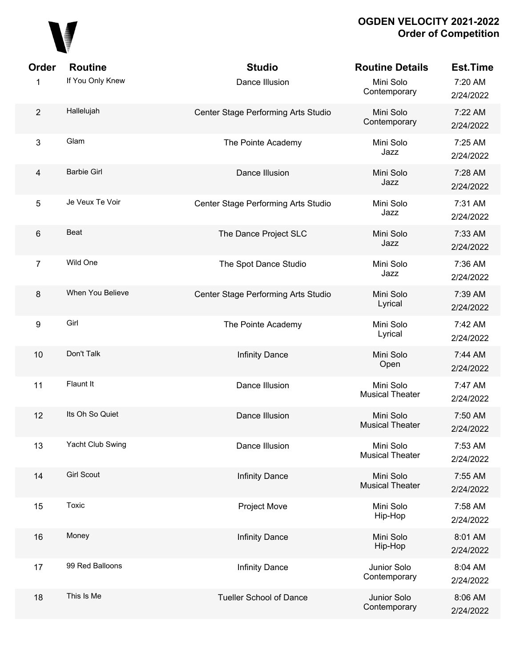

| Order          | <b>Routine</b>     | <b>Studio</b>                       | <b>Routine Details</b>              | <b>Est.Time</b>      |
|----------------|--------------------|-------------------------------------|-------------------------------------|----------------------|
| 1              | If You Only Knew   | Dance Illusion                      | Mini Solo<br>Contemporary           | 7:20 AM<br>2/24/2022 |
| $\overline{2}$ | Hallelujah         | Center Stage Performing Arts Studio | Mini Solo<br>Contemporary           | 7:22 AM<br>2/24/2022 |
| 3              | Glam               | The Pointe Academy                  | Mini Solo<br>Jazz                   | 7:25 AM<br>2/24/2022 |
| $\overline{4}$ | <b>Barbie Girl</b> | Dance Illusion                      | Mini Solo<br>Jazz                   | 7:28 AM<br>2/24/2022 |
| 5              | Je Veux Te Voir    | Center Stage Performing Arts Studio | Mini Solo<br>Jazz                   | 7:31 AM<br>2/24/2022 |
| $\,6$          | Beat               | The Dance Project SLC               | Mini Solo<br>Jazz                   | 7:33 AM<br>2/24/2022 |
| $\overline{7}$ | Wild One           | The Spot Dance Studio               | Mini Solo<br>Jazz                   | 7:36 AM<br>2/24/2022 |
| $\bf 8$        | When You Believe   | Center Stage Performing Arts Studio | Mini Solo<br>Lyrical                | 7:39 AM<br>2/24/2022 |
| 9              | Girl               | The Pointe Academy                  | Mini Solo<br>Lyrical                | 7:42 AM<br>2/24/2022 |
| 10             | Don't Talk         | <b>Infinity Dance</b>               | Mini Solo<br>Open                   | 7:44 AM<br>2/24/2022 |
| 11             | Flaunt It          | Dance Illusion                      | Mini Solo<br><b>Musical Theater</b> | 7:47 AM<br>2/24/2022 |
| 12             | Its Oh So Quiet    | Dance Illusion                      | Mini Solo<br><b>Musical Theater</b> | 7:50 AM<br>2/24/2022 |
| 13             | Yacht Club Swing   | Dance Illusion                      | Mini Solo<br><b>Musical Theater</b> | 7:53 AM<br>2/24/2022 |
| 14             | <b>Girl Scout</b>  | <b>Infinity Dance</b>               | Mini Solo<br><b>Musical Theater</b> | 7:55 AM<br>2/24/2022 |
| 15             | Toxic              | Project Move                        | Mini Solo<br>Hip-Hop                | 7:58 AM<br>2/24/2022 |
| 16             | Money              | <b>Infinity Dance</b>               | Mini Solo<br>Hip-Hop                | 8:01 AM<br>2/24/2022 |
| 17             | 99 Red Balloons    | <b>Infinity Dance</b>               | Junior Solo<br>Contemporary         | 8:04 AM<br>2/24/2022 |
| 18             | This Is Me         | <b>Tueller School of Dance</b>      | Junior Solo<br>Contemporary         | 8:06 AM<br>2/24/2022 |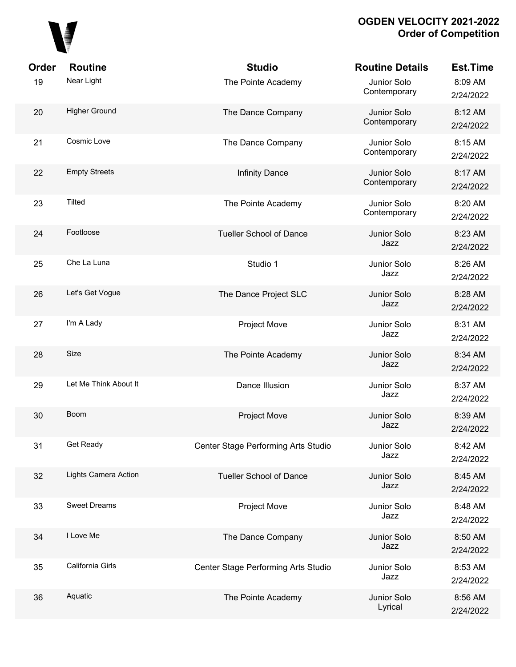

| Order | <b>Routine</b>        | <b>Studio</b>                       | <b>Routine Details</b>      | <b>Est.Time</b>      |
|-------|-----------------------|-------------------------------------|-----------------------------|----------------------|
| 19    | Near Light            | The Pointe Academy                  | Junior Solo<br>Contemporary | 8:09 AM<br>2/24/2022 |
| 20    | <b>Higher Ground</b>  | The Dance Company                   | Junior Solo<br>Contemporary | 8:12 AM<br>2/24/2022 |
| 21    | Cosmic Love           | The Dance Company                   | Junior Solo<br>Contemporary | 8:15 AM<br>2/24/2022 |
| 22    | <b>Empty Streets</b>  | <b>Infinity Dance</b>               | Junior Solo<br>Contemporary | 8:17 AM<br>2/24/2022 |
| 23    | <b>Tilted</b>         | The Pointe Academy                  | Junior Solo<br>Contemporary | 8:20 AM<br>2/24/2022 |
| 24    | Footloose             | <b>Tueller School of Dance</b>      | Junior Solo<br>Jazz         | 8:23 AM<br>2/24/2022 |
| 25    | Che La Luna           | Studio 1                            | Junior Solo<br>Jazz         | 8:26 AM<br>2/24/2022 |
| 26    | Let's Get Vogue       | The Dance Project SLC               | Junior Solo<br>Jazz         | 8:28 AM<br>2/24/2022 |
| 27    | I'm A Lady            | Project Move                        | Junior Solo<br>Jazz         | 8:31 AM<br>2/24/2022 |
| 28    | Size                  | The Pointe Academy                  | Junior Solo<br>Jazz         | 8:34 AM<br>2/24/2022 |
| 29    | Let Me Think About It | Dance Illusion                      | Junior Solo<br>Jazz         | 8:37 AM<br>2/24/2022 |
| 30    | <b>Boom</b>           | <b>Project Move</b>                 | Junior Solo<br>Jazz         | 8:39 AM<br>2/24/2022 |
| 31    | Get Ready             | Center Stage Performing Arts Studio | Junior Solo<br>Jazz         | 8:42 AM<br>2/24/2022 |
| 32    | Lights Camera Action  | <b>Tueller School of Dance</b>      | Junior Solo<br>Jazz         | 8:45 AM<br>2/24/2022 |
| 33    | <b>Sweet Dreams</b>   | Project Move                        | Junior Solo<br>Jazz         | 8:48 AM<br>2/24/2022 |
| 34    | I Love Me             | The Dance Company                   | Junior Solo<br>Jazz         | 8:50 AM<br>2/24/2022 |
| 35    | California Girls      | Center Stage Performing Arts Studio | Junior Solo<br>Jazz         | 8:53 AM<br>2/24/2022 |
| 36    | Aquatic               | The Pointe Academy                  | Junior Solo<br>Lyrical      | 8:56 AM<br>2/24/2022 |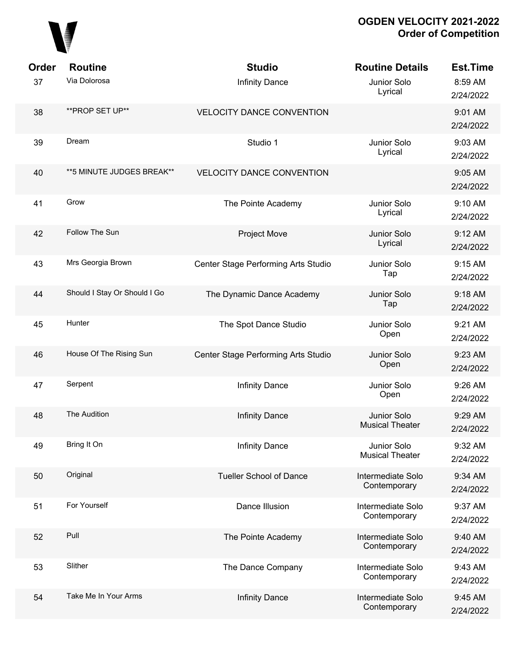

| Order | <b>Routine</b>               | <b>Studio</b>                       | <b>Routine Details</b>                | <b>Est.Time</b>      |
|-------|------------------------------|-------------------------------------|---------------------------------------|----------------------|
| 37    | Via Dolorosa                 | <b>Infinity Dance</b>               | Junior Solo<br>Lyrical                | 8:59 AM<br>2/24/2022 |
| 38    | **PROP SET UP**              | <b>VELOCITY DANCE CONVENTION</b>    |                                       | 9:01 AM<br>2/24/2022 |
| 39    | Dream                        | Studio 1                            | Junior Solo<br>Lyrical                | 9:03 AM<br>2/24/2022 |
| 40    | ** 5 MINUTE JUDGES BREAK**   | <b>VELOCITY DANCE CONVENTION</b>    |                                       | 9:05 AM<br>2/24/2022 |
| 41    | Grow                         | The Pointe Academy                  | Junior Solo<br>Lyrical                | 9:10 AM<br>2/24/2022 |
| 42    | Follow The Sun               | <b>Project Move</b>                 | Junior Solo<br>Lyrical                | 9:12 AM<br>2/24/2022 |
| 43    | Mrs Georgia Brown            | Center Stage Performing Arts Studio | Junior Solo<br>Tap                    | 9:15 AM<br>2/24/2022 |
| 44    | Should I Stay Or Should I Go | The Dynamic Dance Academy           | Junior Solo<br>Tap                    | 9:18 AM<br>2/24/2022 |
| 45    | Hunter                       | The Spot Dance Studio               | Junior Solo<br>Open                   | 9:21 AM<br>2/24/2022 |
| 46    | House Of The Rising Sun      | Center Stage Performing Arts Studio | Junior Solo<br>Open                   | 9:23 AM<br>2/24/2022 |
| 47    | Serpent                      | <b>Infinity Dance</b>               | Junior Solo<br>Open                   | 9:26 AM<br>2/24/2022 |
| 48    | The Audition                 | <b>Infinity Dance</b>               | Junior Solo<br><b>Musical Theater</b> | 9:29 AM<br>2/24/2022 |
| 49    | Bring It On                  | <b>Infinity Dance</b>               | Junior Solo<br><b>Musical Theater</b> | 9:32 AM<br>2/24/2022 |
| 50    | Original                     | <b>Tueller School of Dance</b>      | Intermediate Solo<br>Contemporary     | 9:34 AM<br>2/24/2022 |
| 51    | For Yourself                 | Dance Illusion                      | Intermediate Solo<br>Contemporary     | 9:37 AM<br>2/24/2022 |
| 52    | Pull                         | The Pointe Academy                  | Intermediate Solo<br>Contemporary     | 9:40 AM<br>2/24/2022 |
| 53    | Slither                      | The Dance Company                   | Intermediate Solo<br>Contemporary     | 9:43 AM<br>2/24/2022 |
| 54    | Take Me In Your Arms         | <b>Infinity Dance</b>               | Intermediate Solo<br>Contemporary     | 9:45 AM<br>2/24/2022 |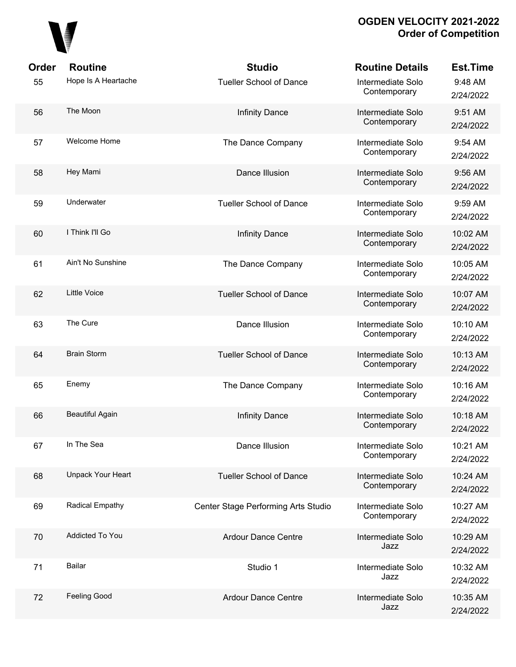

| Order | <b>Routine</b>         | <b>Studio</b>                       | <b>Routine Details</b>            | <b>Est.Time</b>       |
|-------|------------------------|-------------------------------------|-----------------------------------|-----------------------|
| 55    | Hope Is A Heartache    | <b>Tueller School of Dance</b>      | Intermediate Solo<br>Contemporary | 9:48 AM<br>2/24/2022  |
| 56    | The Moon               | <b>Infinity Dance</b>               | Intermediate Solo<br>Contemporary | 9:51 AM<br>2/24/2022  |
| 57    | Welcome Home           | The Dance Company                   | Intermediate Solo<br>Contemporary | 9:54 AM<br>2/24/2022  |
| 58    | Hey Mami               | Dance Illusion                      | Intermediate Solo<br>Contemporary | 9:56 AM<br>2/24/2022  |
| 59    | Underwater             | <b>Tueller School of Dance</b>      | Intermediate Solo<br>Contemporary | 9:59 AM<br>2/24/2022  |
| 60    | I Think I'll Go        | <b>Infinity Dance</b>               | Intermediate Solo<br>Contemporary | 10:02 AM<br>2/24/2022 |
| 61    | Ain't No Sunshine      | The Dance Company                   | Intermediate Solo<br>Contemporary | 10:05 AM<br>2/24/2022 |
| 62    | Little Voice           | <b>Tueller School of Dance</b>      | Intermediate Solo<br>Contemporary | 10:07 AM<br>2/24/2022 |
| 63    | The Cure               | Dance Illusion                      | Intermediate Solo<br>Contemporary | 10:10 AM<br>2/24/2022 |
| 64    | <b>Brain Storm</b>     | <b>Tueller School of Dance</b>      | Intermediate Solo<br>Contemporary | 10:13 AM<br>2/24/2022 |
| 65    | Enemy                  | The Dance Company                   | Intermediate Solo<br>Contemporary | 10:16 AM<br>2/24/2022 |
| 66    | <b>Beautiful Again</b> | <b>Infinity Dance</b>               | Intermediate Solo<br>Contemporary | 10:18 AM<br>2/24/2022 |
| 67    | In The Sea             | Dance Illusion                      | Intermediate Solo<br>Contemporary | 10:21 AM<br>2/24/2022 |
| 68    | Unpack Your Heart      | <b>Tueller School of Dance</b>      | Intermediate Solo<br>Contemporary | 10:24 AM<br>2/24/2022 |
| 69    | Radical Empathy        | Center Stage Performing Arts Studio | Intermediate Solo<br>Contemporary | 10:27 AM<br>2/24/2022 |
| 70    | <b>Addicted To You</b> | <b>Ardour Dance Centre</b>          | Intermediate Solo<br>Jazz         | 10:29 AM<br>2/24/2022 |
| 71    | Bailar                 | Studio 1                            | Intermediate Solo<br>Jazz         | 10:32 AM<br>2/24/2022 |
| 72    | Feeling Good           | <b>Ardour Dance Centre</b>          | Intermediate Solo<br>Jazz         | 10:35 AM<br>2/24/2022 |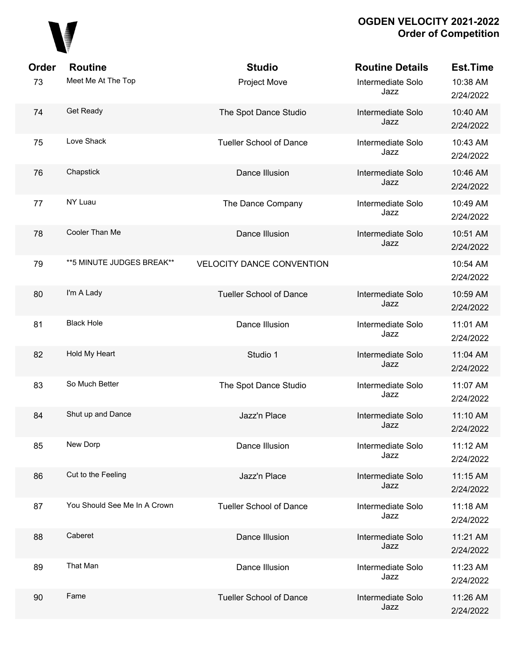

| Order | <b>Routine</b>               | <b>Studio</b>                    | <b>Routine Details</b>    | <b>Est.Time</b>       |
|-------|------------------------------|----------------------------------|---------------------------|-----------------------|
| 73    | Meet Me At The Top           | <b>Project Move</b>              | Intermediate Solo<br>Jazz | 10:38 AM<br>2/24/2022 |
| 74    | Get Ready                    | The Spot Dance Studio            | Intermediate Solo<br>Jazz | 10:40 AM<br>2/24/2022 |
| 75    | Love Shack                   | <b>Tueller School of Dance</b>   | Intermediate Solo<br>Jazz | 10:43 AM<br>2/24/2022 |
| 76    | Chapstick                    | Dance Illusion                   | Intermediate Solo<br>Jazz | 10:46 AM<br>2/24/2022 |
| 77    | NY Luau                      | The Dance Company                | Intermediate Solo<br>Jazz | 10:49 AM<br>2/24/2022 |
| 78    | Cooler Than Me               | Dance Illusion                   | Intermediate Solo<br>Jazz | 10:51 AM<br>2/24/2022 |
| 79    | ** 5 MINUTE JUDGES BREAK**   | <b>VELOCITY DANCE CONVENTION</b> |                           | 10:54 AM<br>2/24/2022 |
| 80    | I'm A Lady                   | <b>Tueller School of Dance</b>   | Intermediate Solo<br>Jazz | 10:59 AM<br>2/24/2022 |
| 81    | <b>Black Hole</b>            | Dance Illusion                   | Intermediate Solo<br>Jazz | 11:01 AM<br>2/24/2022 |
| 82    | Hold My Heart                | Studio 1                         | Intermediate Solo<br>Jazz | 11:04 AM<br>2/24/2022 |
| 83    | So Much Better               | The Spot Dance Studio            | Intermediate Solo<br>Jazz | 11:07 AM<br>2/24/2022 |
| 84    | Shut up and Dance            | Jazz'n Place                     | Intermediate Solo<br>Jazz | 11:10 AM<br>2/24/2022 |
| 85    | New Dorp                     | Dance Illusion                   | Intermediate Solo<br>Jazz | 11:12 AM<br>2/24/2022 |
| 86    | Cut to the Feeling           | Jazz'n Place                     | Intermediate Solo<br>Jazz | 11:15 AM<br>2/24/2022 |
| 87    | You Should See Me In A Crown | <b>Tueller School of Dance</b>   | Intermediate Solo<br>Jazz | 11:18 AM<br>2/24/2022 |
| 88    | Caberet                      | Dance Illusion                   | Intermediate Solo<br>Jazz | 11:21 AM<br>2/24/2022 |
| 89    | That Man                     | Dance Illusion                   | Intermediate Solo<br>Jazz | 11:23 AM<br>2/24/2022 |
| 90    | Fame                         | <b>Tueller School of Dance</b>   | Intermediate Solo<br>Jazz | 11:26 AM<br>2/24/2022 |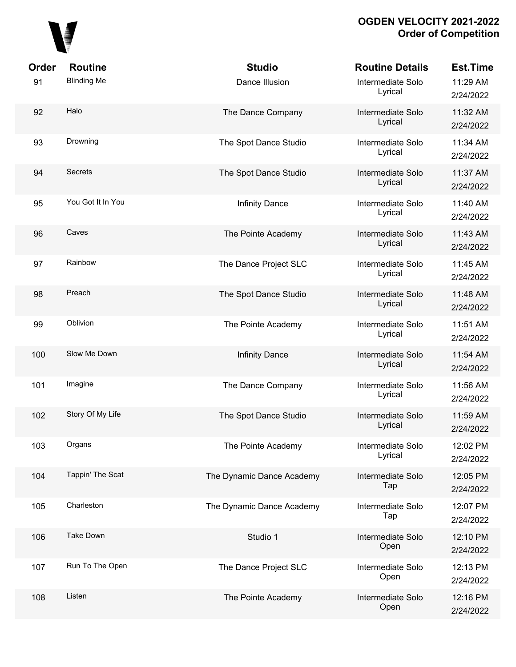

| Order | <b>Routine</b>     | <b>Studio</b>             | <b>Routine Details</b>       | <b>Est.Time</b>       |
|-------|--------------------|---------------------------|------------------------------|-----------------------|
| 91    | <b>Blinding Me</b> | Dance Illusion            | Intermediate Solo<br>Lyrical | 11:29 AM<br>2/24/2022 |
| 92    | Halo               | The Dance Company         | Intermediate Solo<br>Lyrical | 11:32 AM<br>2/24/2022 |
| 93    | Drowning           | The Spot Dance Studio     | Intermediate Solo<br>Lyrical | 11:34 AM<br>2/24/2022 |
| 94    | <b>Secrets</b>     | The Spot Dance Studio     | Intermediate Solo<br>Lyrical | 11:37 AM<br>2/24/2022 |
| 95    | You Got It In You  | <b>Infinity Dance</b>     | Intermediate Solo<br>Lyrical | 11:40 AM<br>2/24/2022 |
| 96    | Caves              | The Pointe Academy        | Intermediate Solo<br>Lyrical | 11:43 AM<br>2/24/2022 |
| 97    | Rainbow            | The Dance Project SLC     | Intermediate Solo<br>Lyrical | 11:45 AM<br>2/24/2022 |
| 98    | Preach             | The Spot Dance Studio     | Intermediate Solo<br>Lyrical | 11:48 AM<br>2/24/2022 |
| 99    | Oblivion           | The Pointe Academy        | Intermediate Solo<br>Lyrical | 11:51 AM<br>2/24/2022 |
| 100   | Slow Me Down       | <b>Infinity Dance</b>     | Intermediate Solo<br>Lyrical | 11:54 AM<br>2/24/2022 |
| 101   | Imagine            | The Dance Company         | Intermediate Solo<br>Lyrical | 11:56 AM<br>2/24/2022 |
| 102   | Story Of My Life   | The Spot Dance Studio     | Intermediate Solo<br>Lyrical | 11:59 AM<br>2/24/2022 |
| 103   | Organs             | The Pointe Academy        | Intermediate Solo<br>Lyrical | 12:02 PM<br>2/24/2022 |
| 104   | Tappin' The Scat   | The Dynamic Dance Academy | Intermediate Solo<br>Tap     | 12:05 PM<br>2/24/2022 |
| 105   | Charleston         | The Dynamic Dance Academy | Intermediate Solo<br>Tap     | 12:07 PM<br>2/24/2022 |
| 106   | <b>Take Down</b>   | Studio 1                  | Intermediate Solo<br>Open    | 12:10 PM<br>2/24/2022 |
| 107   | Run To The Open    | The Dance Project SLC     | Intermediate Solo<br>Open    | 12:13 PM<br>2/24/2022 |
| 108   | Listen             | The Pointe Academy        | Intermediate Solo<br>Open    | 12:16 PM<br>2/24/2022 |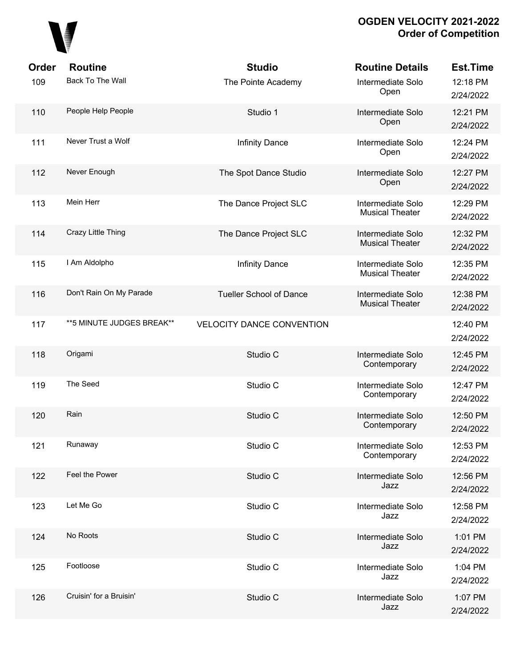

| Order<br>109 | <b>Routine</b><br>Back To The Wall | <b>Studio</b><br>The Pointe Academy | <b>Routine Details</b><br>Intermediate Solo<br>Open | <b>Est.Time</b><br>12:18 PM<br>2/24/2022 |
|--------------|------------------------------------|-------------------------------------|-----------------------------------------------------|------------------------------------------|
| 110          | People Help People                 | Studio 1                            | Intermediate Solo<br>Open                           | 12:21 PM<br>2/24/2022                    |
| 111          | Never Trust a Wolf                 | <b>Infinity Dance</b>               | Intermediate Solo<br>Open                           | 12:24 PM<br>2/24/2022                    |
| 112          | Never Enough                       | The Spot Dance Studio               | Intermediate Solo<br>Open                           | 12:27 PM<br>2/24/2022                    |
| 113          | Mein Herr                          | The Dance Project SLC               | Intermediate Solo<br><b>Musical Theater</b>         | 12:29 PM<br>2/24/2022                    |
| 114          | Crazy Little Thing                 | The Dance Project SLC               | Intermediate Solo<br><b>Musical Theater</b>         | 12:32 PM<br>2/24/2022                    |
| 115          | I Am Aldolpho                      | <b>Infinity Dance</b>               | Intermediate Solo<br><b>Musical Theater</b>         | 12:35 PM<br>2/24/2022                    |
| 116          | Don't Rain On My Parade            | <b>Tueller School of Dance</b>      | Intermediate Solo<br><b>Musical Theater</b>         | 12:38 PM<br>2/24/2022                    |
| 117          | ** 5 MINUTE JUDGES BREAK**         | <b>VELOCITY DANCE CONVENTION</b>    |                                                     | 12:40 PM<br>2/24/2022                    |
| 118          | Origami                            | Studio C                            | Intermediate Solo<br>Contemporary                   | 12:45 PM<br>2/24/2022                    |
| 119          | The Seed                           | Studio C                            | Intermediate Solo<br>Contemporary                   | 12:47 PM<br>2/24/2022                    |
| 120          | Rain                               | Studio C                            | Intermediate Solo<br>Contemporary                   | 12:50 PM<br>2/24/2022                    |
| 121          | Runaway                            | Studio C                            | Intermediate Solo<br>Contemporary                   | 12:53 PM<br>2/24/2022                    |
| 122          | Feel the Power                     | Studio C                            | Intermediate Solo<br>Jazz                           | 12:56 PM<br>2/24/2022                    |
| 123          | Let Me Go                          | Studio C                            | Intermediate Solo<br>Jazz                           | 12:58 PM<br>2/24/2022                    |
| 124          | No Roots                           | Studio C                            | Intermediate Solo<br>Jazz                           | 1:01 PM<br>2/24/2022                     |
| 125          | Footloose                          | Studio C                            | Intermediate Solo<br>Jazz                           | 1:04 PM<br>2/24/2022                     |
| 126          | Cruisin' for a Bruisin'            | Studio C                            | Intermediate Solo<br>Jazz                           | 1:07 PM<br>2/24/2022                     |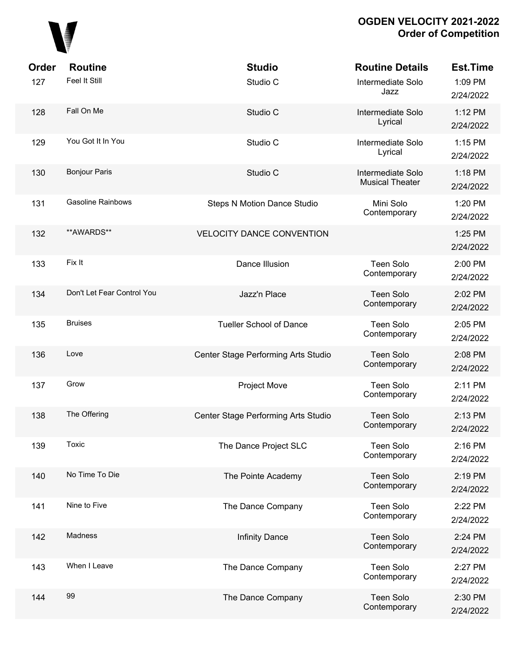

| Order | <b>Routine</b>             | <b>Studio</b>                       | <b>Routine Details</b>                      | <b>Est.Time</b>      |
|-------|----------------------------|-------------------------------------|---------------------------------------------|----------------------|
| 127   | Feel It Still              | Studio C                            | Intermediate Solo<br>Jazz                   | 1:09 PM<br>2/24/2022 |
| 128   | Fall On Me                 | Studio C                            | Intermediate Solo<br>Lyrical                | 1:12 PM<br>2/24/2022 |
| 129   | You Got It In You          | Studio C                            | Intermediate Solo<br>Lyrical                | 1:15 PM<br>2/24/2022 |
| 130   | <b>Bonjour Paris</b>       | Studio C                            | Intermediate Solo<br><b>Musical Theater</b> | 1:18 PM<br>2/24/2022 |
| 131   | <b>Gasoline Rainbows</b>   | <b>Steps N Motion Dance Studio</b>  | Mini Solo<br>Contemporary                   | 1:20 PM<br>2/24/2022 |
| 132   | **AWARDS**                 | <b>VELOCITY DANCE CONVENTION</b>    |                                             | 1:25 PM<br>2/24/2022 |
| 133   | Fix It                     | Dance Illusion                      | <b>Teen Solo</b><br>Contemporary            | 2:00 PM<br>2/24/2022 |
| 134   | Don't Let Fear Control You | Jazz'n Place                        | <b>Teen Solo</b><br>Contemporary            | 2:02 PM<br>2/24/2022 |
| 135   | <b>Bruises</b>             | <b>Tueller School of Dance</b>      | Teen Solo<br>Contemporary                   | 2:05 PM<br>2/24/2022 |
| 136   | Love                       | Center Stage Performing Arts Studio | <b>Teen Solo</b><br>Contemporary            | 2:08 PM<br>2/24/2022 |
| 137   | Grow                       | <b>Project Move</b>                 | <b>Teen Solo</b><br>Contemporary            | 2:11 PM<br>2/24/2022 |
| 138   | The Offering               | Center Stage Performing Arts Studio | <b>Teen Solo</b><br>Contemporary            | 2:13 PM<br>2/24/2022 |
| 139   | Toxic                      | The Dance Project SLC               | Teen Solo<br>Contemporary                   | 2:16 PM<br>2/24/2022 |
| 140   | No Time To Die             | The Pointe Academy                  | Teen Solo<br>Contemporary                   | 2:19 PM<br>2/24/2022 |
| 141   | Nine to Five               | The Dance Company                   | <b>Teen Solo</b><br>Contemporary            | 2:22 PM<br>2/24/2022 |
| 142   | Madness                    | Infinity Dance                      | <b>Teen Solo</b><br>Contemporary            | 2:24 PM<br>2/24/2022 |
| 143   | When I Leave               | The Dance Company                   | <b>Teen Solo</b><br>Contemporary            | 2:27 PM<br>2/24/2022 |
| 144   | 99                         | The Dance Company                   | <b>Teen Solo</b><br>Contemporary            | 2:30 PM<br>2/24/2022 |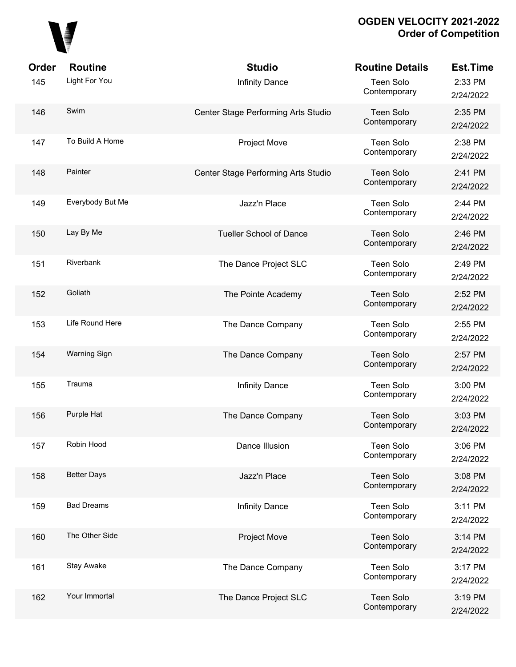

| <b>Order</b> | <b>Routine</b>      | <b>Studio</b>                       | <b>Routine Details</b>           | <b>Est.Time</b>      |
|--------------|---------------------|-------------------------------------|----------------------------------|----------------------|
| 145          | Light For You       | <b>Infinity Dance</b>               | Teen Solo<br>Contemporary        | 2:33 PM<br>2/24/2022 |
| 146          | Swim                | Center Stage Performing Arts Studio | <b>Teen Solo</b><br>Contemporary | 2:35 PM<br>2/24/2022 |
| 147          | To Build A Home     | Project Move                        | Teen Solo<br>Contemporary        | 2:38 PM<br>2/24/2022 |
| 148          | Painter             | Center Stage Performing Arts Studio | <b>Teen Solo</b><br>Contemporary | 2:41 PM<br>2/24/2022 |
| 149          | Everybody But Me    | Jazz'n Place                        | Teen Solo<br>Contemporary        | 2:44 PM<br>2/24/2022 |
| 150          | Lay By Me           | <b>Tueller School of Dance</b>      | Teen Solo<br>Contemporary        | 2:46 PM<br>2/24/2022 |
| 151          | Riverbank           | The Dance Project SLC               | <b>Teen Solo</b><br>Contemporary | 2:49 PM<br>2/24/2022 |
| 152          | Goliath             | The Pointe Academy                  | Teen Solo<br>Contemporary        | 2:52 PM<br>2/24/2022 |
| 153          | Life Round Here     | The Dance Company                   | <b>Teen Solo</b><br>Contemporary | 2:55 PM<br>2/24/2022 |
| 154          | <b>Warning Sign</b> | The Dance Company                   | <b>Teen Solo</b><br>Contemporary | 2:57 PM<br>2/24/2022 |
| 155          | Trauma              | <b>Infinity Dance</b>               | <b>Teen Solo</b><br>Contemporary | 3:00 PM<br>2/24/2022 |
| 156          | Purple Hat          | The Dance Company                   | <b>Teen Solo</b><br>Contemporary | 3:03 PM<br>2/24/2022 |
| 157          | Robin Hood          | Dance Illusion                      | <b>Teen Solo</b><br>Contemporary | 3:06 PM<br>2/24/2022 |
| 158          | <b>Better Days</b>  | Jazz'n Place                        | <b>Teen Solo</b><br>Contemporary | 3:08 PM<br>2/24/2022 |
| 159          | <b>Bad Dreams</b>   | Infinity Dance                      | <b>Teen Solo</b><br>Contemporary | 3:11 PM<br>2/24/2022 |
| 160          | The Other Side      | Project Move                        | <b>Teen Solo</b><br>Contemporary | 3:14 PM<br>2/24/2022 |
| 161          | Stay Awake          | The Dance Company                   | <b>Teen Solo</b><br>Contemporary | 3:17 PM<br>2/24/2022 |
| 162          | Your Immortal       | The Dance Project SLC               | Teen Solo<br>Contemporary        | 3:19 PM<br>2/24/2022 |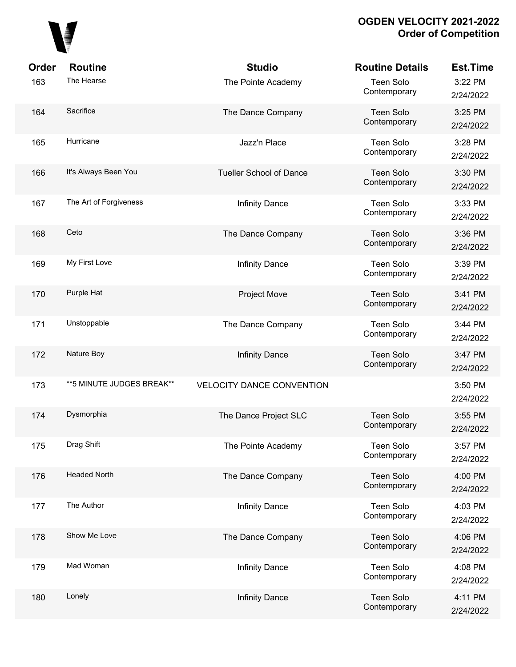

| Order | <b>Routine</b>             | <b>Studio</b>                    | <b>Routine Details</b>           | <b>Est.Time</b>      |
|-------|----------------------------|----------------------------------|----------------------------------|----------------------|
| 163   | The Hearse                 | The Pointe Academy               | Teen Solo<br>Contemporary        | 3:22 PM<br>2/24/2022 |
| 164   | Sacrifice                  | The Dance Company                | Teen Solo<br>Contemporary        | 3:25 PM<br>2/24/2022 |
| 165   | Hurricane                  | Jazz'n Place                     | Teen Solo<br>Contemporary        | 3:28 PM<br>2/24/2022 |
| 166   | It's Always Been You       | <b>Tueller School of Dance</b>   | Teen Solo<br>Contemporary        | 3:30 PM<br>2/24/2022 |
| 167   | The Art of Forgiveness     | <b>Infinity Dance</b>            | Teen Solo<br>Contemporary        | 3:33 PM<br>2/24/2022 |
| 168   | Ceto                       | The Dance Company                | Teen Solo<br>Contemporary        | 3:36 PM<br>2/24/2022 |
| 169   | My First Love              | <b>Infinity Dance</b>            | Teen Solo<br>Contemporary        | 3:39 PM<br>2/24/2022 |
| 170   | Purple Hat                 | <b>Project Move</b>              | Teen Solo<br>Contemporary        | 3:41 PM<br>2/24/2022 |
| 171   | Unstoppable                | The Dance Company                | Teen Solo<br>Contemporary        | 3:44 PM<br>2/24/2022 |
| 172   | Nature Boy                 | <b>Infinity Dance</b>            | Teen Solo<br>Contemporary        | 3:47 PM<br>2/24/2022 |
| 173   | ** 5 MINUTE JUDGES BREAK** | <b>VELOCITY DANCE CONVENTION</b> |                                  | 3:50 PM<br>2/24/2022 |
| 174   | Dysmorphia                 | The Dance Project SLC            | Teen Solo<br>Contemporary        | 3:55 PM<br>2/24/2022 |
| 175   | Drag Shift                 | The Pointe Academy               | <b>Teen Solo</b><br>Contemporary | 3:57 PM<br>2/24/2022 |
| 176   | <b>Headed North</b>        | The Dance Company                | <b>Teen Solo</b><br>Contemporary | 4:00 PM<br>2/24/2022 |
| 177   | The Author                 | <b>Infinity Dance</b>            | <b>Teen Solo</b><br>Contemporary | 4:03 PM<br>2/24/2022 |
| 178   | Show Me Love               | The Dance Company                | <b>Teen Solo</b><br>Contemporary | 4:06 PM<br>2/24/2022 |
| 179   | Mad Woman                  | <b>Infinity Dance</b>            | <b>Teen Solo</b><br>Contemporary | 4:08 PM<br>2/24/2022 |
| 180   | Lonely                     | <b>Infinity Dance</b>            | <b>Teen Solo</b><br>Contemporary | 4:11 PM<br>2/24/2022 |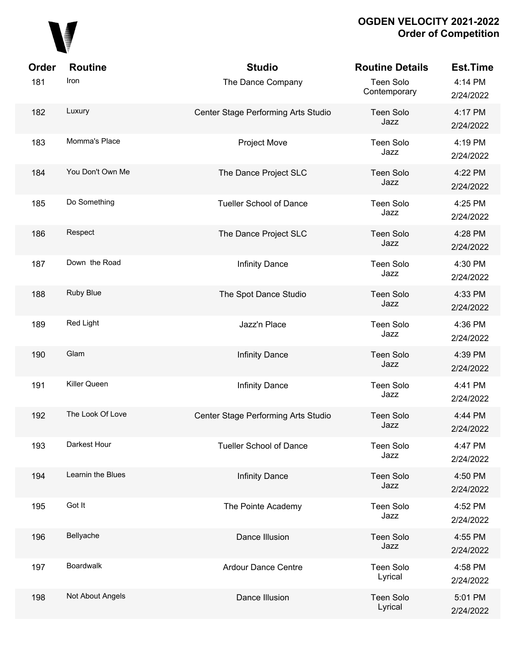

| Order | <b>Routine</b>    | <b>Studio</b>                       | <b>Routine Details</b>      | <b>Est.Time</b>      |
|-------|-------------------|-------------------------------------|-----------------------------|----------------------|
| 181   | Iron              | The Dance Company                   | Teen Solo<br>Contemporary   | 4:14 PM<br>2/24/2022 |
| 182   | Luxury            | Center Stage Performing Arts Studio | Teen Solo<br>Jazz           | 4:17 PM<br>2/24/2022 |
| 183   | Momma's Place     | Project Move                        | Teen Solo<br>Jazz           | 4:19 PM<br>2/24/2022 |
| 184   | You Don't Own Me  | The Dance Project SLC               | Teen Solo<br>Jazz           | 4:22 PM<br>2/24/2022 |
| 185   | Do Something      | <b>Tueller School of Dance</b>      | Teen Solo<br>Jazz           | 4:25 PM<br>2/24/2022 |
| 186   | Respect           | The Dance Project SLC               | Teen Solo<br>Jazz           | 4:28 PM<br>2/24/2022 |
| 187   | Down the Road     | <b>Infinity Dance</b>               | Teen Solo<br>Jazz           | 4:30 PM<br>2/24/2022 |
| 188   | Ruby Blue         | The Spot Dance Studio               | Teen Solo<br>Jazz           | 4:33 PM<br>2/24/2022 |
| 189   | Red Light         | Jazz'n Place                        | Teen Solo<br>Jazz           | 4:36 PM<br>2/24/2022 |
| 190   | Glam              | <b>Infinity Dance</b>               | <b>Teen Solo</b><br>Jazz    | 4:39 PM<br>2/24/2022 |
| 191   | Killer Queen      | <b>Infinity Dance</b>               | Teen Solo<br>Jazz           | 4:41 PM<br>2/24/2022 |
| 192   | The Look Of Love  | Center Stage Performing Arts Studio | <b>Teen Solo</b><br>Jazz    | 4:44 PM<br>2/24/2022 |
| 193   | Darkest Hour      | <b>Tueller School of Dance</b>      | <b>Teen Solo</b><br>Jazz    | 4:47 PM<br>2/24/2022 |
| 194   | Learnin the Blues | <b>Infinity Dance</b>               | Teen Solo<br>Jazz           | 4:50 PM<br>2/24/2022 |
| 195   | Got It            | The Pointe Academy                  | Teen Solo<br>Jazz           | 4:52 PM<br>2/24/2022 |
| 196   | Bellyache         | Dance Illusion                      | Teen Solo<br>Jazz           | 4:55 PM<br>2/24/2022 |
| 197   | Boardwalk         | <b>Ardour Dance Centre</b>          | <b>Teen Solo</b><br>Lyrical | 4:58 PM<br>2/24/2022 |
| 198   | Not About Angels  | Dance Illusion                      | Teen Solo<br>Lyrical        | 5:01 PM<br>2/24/2022 |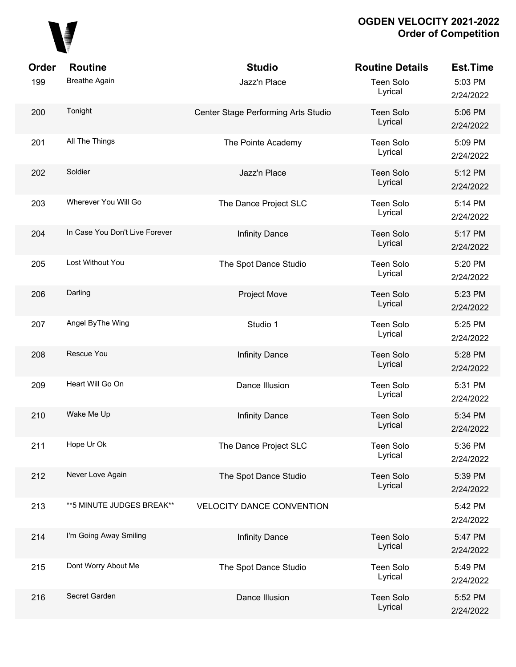

| Order | <b>Routine</b>                 | <b>Studio</b>                       | <b>Routine Details</b>      | <b>Est.Time</b>      |
|-------|--------------------------------|-------------------------------------|-----------------------------|----------------------|
| 199   | <b>Breathe Again</b>           | Jazz'n Place                        | <b>Teen Solo</b><br>Lyrical | 5:03 PM<br>2/24/2022 |
| 200   | Tonight                        | Center Stage Performing Arts Studio | <b>Teen Solo</b><br>Lyrical | 5:06 PM<br>2/24/2022 |
| 201   | All The Things                 | The Pointe Academy                  | <b>Teen Solo</b><br>Lyrical | 5:09 PM<br>2/24/2022 |
| 202   | Soldier                        | Jazz'n Place                        | <b>Teen Solo</b><br>Lyrical | 5:12 PM<br>2/24/2022 |
| 203   | Wherever You Will Go           | The Dance Project SLC               | <b>Teen Solo</b><br>Lyrical | 5:14 PM<br>2/24/2022 |
| 204   | In Case You Don't Live Forever | <b>Infinity Dance</b>               | <b>Teen Solo</b><br>Lyrical | 5:17 PM<br>2/24/2022 |
| 205   | Lost Without You               | The Spot Dance Studio               | <b>Teen Solo</b><br>Lyrical | 5:20 PM<br>2/24/2022 |
| 206   | Darling                        | <b>Project Move</b>                 | <b>Teen Solo</b><br>Lyrical | 5:23 PM<br>2/24/2022 |
| 207   | Angel ByThe Wing               | Studio 1                            | <b>Teen Solo</b><br>Lyrical | 5:25 PM<br>2/24/2022 |
| 208   | Rescue You                     | <b>Infinity Dance</b>               | <b>Teen Solo</b><br>Lyrical | 5:28 PM<br>2/24/2022 |
| 209   | Heart Will Go On               | Dance Illusion                      | <b>Teen Solo</b><br>Lyrical | 5:31 PM<br>2/24/2022 |
| 210   | Wake Me Up                     | <b>Infinity Dance</b>               | <b>Teen Solo</b><br>Lyrical | 5:34 PM<br>2/24/2022 |
| 211   | Hope Ur Ok                     | The Dance Project SLC               | <b>Teen Solo</b><br>Lyrical | 5:36 PM<br>2/24/2022 |
| 212   | Never Love Again               | The Spot Dance Studio               | <b>Teen Solo</b><br>Lyrical | 5:39 PM<br>2/24/2022 |
| 213   | ** 5 MINUTE JUDGES BREAK**     | <b>VELOCITY DANCE CONVENTION</b>    |                             | 5:42 PM<br>2/24/2022 |
| 214   | I'm Going Away Smiling         | <b>Infinity Dance</b>               | <b>Teen Solo</b><br>Lyrical | 5:47 PM<br>2/24/2022 |
| 215   | Dont Worry About Me            | The Spot Dance Studio               | <b>Teen Solo</b><br>Lyrical | 5:49 PM<br>2/24/2022 |
| 216   | Secret Garden                  | Dance Illusion                      | <b>Teen Solo</b><br>Lyrical | 5:52 PM<br>2/24/2022 |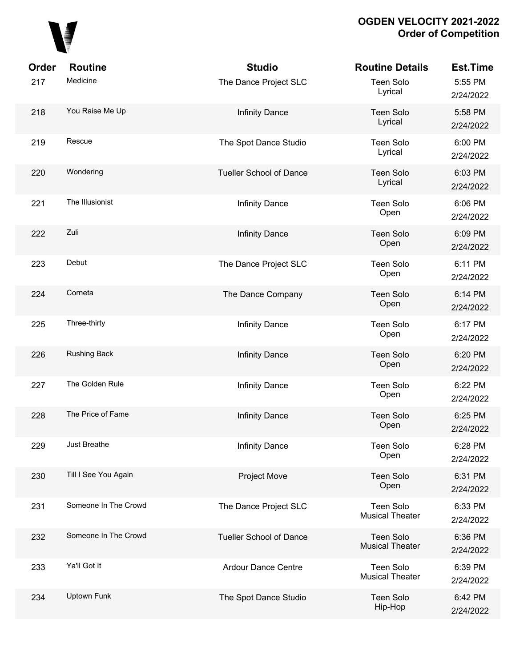

| Order | <b>Routine</b>       | <b>Studio</b>                  | <b>Routine Details</b>                     | <b>Est.Time</b>      |
|-------|----------------------|--------------------------------|--------------------------------------------|----------------------|
| 217   | Medicine             | The Dance Project SLC          | Teen Solo<br>Lyrical                       | 5:55 PM<br>2/24/2022 |
| 218   | You Raise Me Up      | <b>Infinity Dance</b>          | <b>Teen Solo</b><br>Lyrical                | 5:58 PM<br>2/24/2022 |
| 219   | Rescue               | The Spot Dance Studio          | Teen Solo<br>Lyrical                       | 6:00 PM<br>2/24/2022 |
| 220   | Wondering            | <b>Tueller School of Dance</b> | Teen Solo<br>Lyrical                       | 6:03 PM<br>2/24/2022 |
| 221   | The Illusionist      | Infinity Dance                 | Teen Solo<br>Open                          | 6:06 PM<br>2/24/2022 |
| 222   | Zuli                 | <b>Infinity Dance</b>          | <b>Teen Solo</b><br>Open                   | 6:09 PM<br>2/24/2022 |
| 223   | Debut                | The Dance Project SLC          | Teen Solo<br>Open                          | 6:11 PM<br>2/24/2022 |
| 224   | Corneta              | The Dance Company              | <b>Teen Solo</b><br>Open                   | 6:14 PM<br>2/24/2022 |
| 225   | Three-thirty         | Infinity Dance                 | <b>Teen Solo</b><br>Open                   | 6:17 PM<br>2/24/2022 |
| 226   | <b>Rushing Back</b>  | <b>Infinity Dance</b>          | Teen Solo<br>Open                          | 6:20 PM<br>2/24/2022 |
| 227   | The Golden Rule      | Infinity Dance                 | Teen Solo<br>Open                          | 6:22 PM<br>2/24/2022 |
| 228   | The Price of Fame    | <b>Infinity Dance</b>          | <b>Teen Solo</b><br>Open                   | 6:25 PM<br>2/24/2022 |
| 229   | Just Breathe         | <b>Infinity Dance</b>          | <b>Teen Solo</b><br>Open                   | 6:28 PM<br>2/24/2022 |
| 230   | Till I See You Again | <b>Project Move</b>            | Teen Solo<br>Open                          | 6:31 PM<br>2/24/2022 |
| 231   | Someone In The Crowd | The Dance Project SLC          | <b>Teen Solo</b><br><b>Musical Theater</b> | 6:33 PM<br>2/24/2022 |
| 232   | Someone In The Crowd | <b>Tueller School of Dance</b> | Teen Solo<br><b>Musical Theater</b>        | 6:36 PM<br>2/24/2022 |
| 233   | Ya'll Got It         | <b>Ardour Dance Centre</b>     | <b>Teen Solo</b><br><b>Musical Theater</b> | 6:39 PM<br>2/24/2022 |
| 234   | Uptown Funk          | The Spot Dance Studio          | <b>Teen Solo</b><br>Hip-Hop                | 6:42 PM<br>2/24/2022 |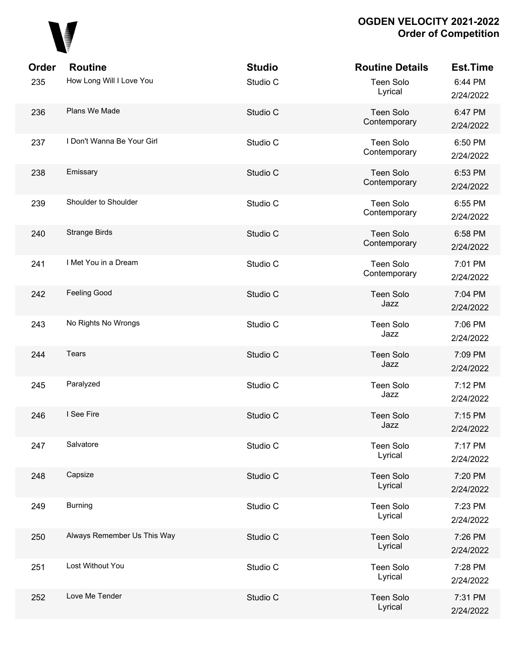

| Order | <b>Routine</b>              | <b>Studio</b> | <b>Routine Details</b>           | Est.Time             |
|-------|-----------------------------|---------------|----------------------------------|----------------------|
| 235   | How Long Will I Love You    | Studio C      | Teen Solo<br>Lyrical             | 6:44 PM<br>2/24/2022 |
| 236   | Plans We Made               | Studio C      | Teen Solo<br>Contemporary        | 6:47 PM<br>2/24/2022 |
| 237   | I Don't Wanna Be Your Girl  | Studio C      | Teen Solo<br>Contemporary        | 6:50 PM<br>2/24/2022 |
| 238   | Emissary                    | Studio C      | <b>Teen Solo</b><br>Contemporary | 6:53 PM<br>2/24/2022 |
| 239   | Shoulder to Shoulder        | Studio C      | Teen Solo<br>Contemporary        | 6:55 PM<br>2/24/2022 |
| 240   | <b>Strange Birds</b>        | Studio C      | Teen Solo<br>Contemporary        | 6:58 PM<br>2/24/2022 |
| 241   | I Met You in a Dream        | Studio C      | Teen Solo<br>Contemporary        | 7:01 PM<br>2/24/2022 |
| 242   | Feeling Good                | Studio C      | Teen Solo<br>Jazz                | 7:04 PM<br>2/24/2022 |
| 243   | No Rights No Wrongs         | Studio C      | <b>Teen Solo</b><br>Jazz         | 7:06 PM<br>2/24/2022 |
| 244   | Tears                       | Studio C      | Teen Solo<br>Jazz                | 7:09 PM<br>2/24/2022 |
| 245   | Paralyzed                   | Studio C      | <b>Teen Solo</b><br>Jazz         | 7:12 PM<br>2/24/2022 |
| 246   | I See Fire                  | Studio C      | <b>Teen Solo</b><br>Jazz         | 7:15 PM<br>2/24/2022 |
| 247   | Salvatore                   | Studio C      | <b>Teen Solo</b><br>Lyrical      | 7:17 PM<br>2/24/2022 |
| 248   | Capsize                     | Studio C      | Teen Solo<br>Lyrical             | 7:20 PM<br>2/24/2022 |
| 249   | <b>Burning</b>              | Studio C      | <b>Teen Solo</b><br>Lyrical      | 7:23 PM<br>2/24/2022 |
| 250   | Always Remember Us This Way | Studio C      | Teen Solo<br>Lyrical             | 7:26 PM<br>2/24/2022 |
| 251   | Lost Without You            | Studio C      | <b>Teen Solo</b><br>Lyrical      | 7:28 PM<br>2/24/2022 |
| 252   | Love Me Tender              | Studio C      | <b>Teen Solo</b><br>Lyrical      | 7:31 PM<br>2/24/2022 |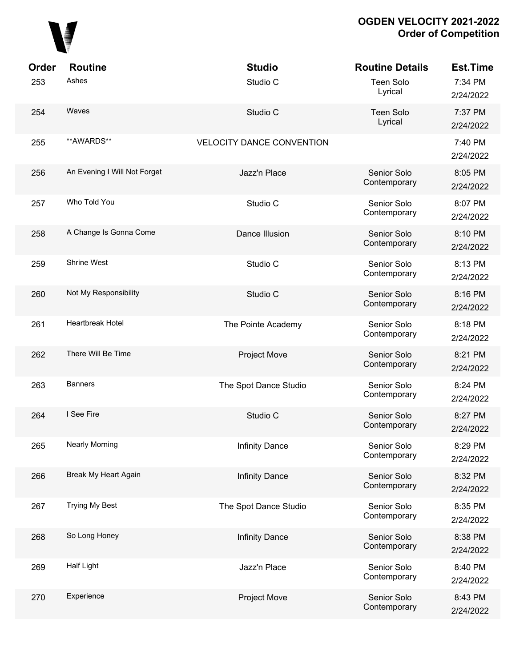

| <b>Order</b> | <b>Routine</b>               | <b>Studio</b>                    | <b>Routine Details</b>      | Est.Time             |
|--------------|------------------------------|----------------------------------|-----------------------------|----------------------|
| 253          | Ashes                        | Studio C                         | <b>Teen Solo</b><br>Lyrical | 7:34 PM<br>2/24/2022 |
| 254          | Waves                        | Studio C                         | <b>Teen Solo</b><br>Lyrical | 7:37 PM<br>2/24/2022 |
| 255          | **AWARDS**                   | <b>VELOCITY DANCE CONVENTION</b> |                             | 7:40 PM<br>2/24/2022 |
| 256          | An Evening I Will Not Forget | Jazz'n Place                     | Senior Solo<br>Contemporary | 8:05 PM<br>2/24/2022 |
| 257          | Who Told You                 | Studio C                         | Senior Solo<br>Contemporary | 8:07 PM<br>2/24/2022 |
| 258          | A Change Is Gonna Come       | Dance Illusion                   | Senior Solo<br>Contemporary | 8:10 PM<br>2/24/2022 |
| 259          | Shrine West                  | Studio C                         | Senior Solo<br>Contemporary | 8:13 PM<br>2/24/2022 |
| 260          | Not My Responsibility        | Studio C                         | Senior Solo<br>Contemporary | 8:16 PM<br>2/24/2022 |
| 261          | Heartbreak Hotel             | The Pointe Academy               | Senior Solo<br>Contemporary | 8:18 PM<br>2/24/2022 |
| 262          | There Will Be Time           | <b>Project Move</b>              | Senior Solo<br>Contemporary | 8:21 PM<br>2/24/2022 |
| 263          | <b>Banners</b>               | The Spot Dance Studio            | Senior Solo<br>Contemporary | 8:24 PM<br>2/24/2022 |
| 264          | I See Fire                   | Studio C                         | Senior Solo<br>Contemporary | 8:27 PM<br>2/24/2022 |
| 265          | <b>Nearly Morning</b>        | <b>Infinity Dance</b>            | Senior Solo<br>Contemporary | 8:29 PM<br>2/24/2022 |
| 266          | Break My Heart Again         | <b>Infinity Dance</b>            | Senior Solo<br>Contemporary | 8:32 PM<br>2/24/2022 |
| 267          | <b>Trying My Best</b>        | The Spot Dance Studio            | Senior Solo<br>Contemporary | 8:35 PM<br>2/24/2022 |
| 268          | So Long Honey                | <b>Infinity Dance</b>            | Senior Solo<br>Contemporary | 8:38 PM<br>2/24/2022 |
| 269          | Half Light                   | Jazz'n Place                     | Senior Solo<br>Contemporary | 8:40 PM<br>2/24/2022 |
| 270          | Experience                   | <b>Project Move</b>              | Senior Solo<br>Contemporary | 8:43 PM<br>2/24/2022 |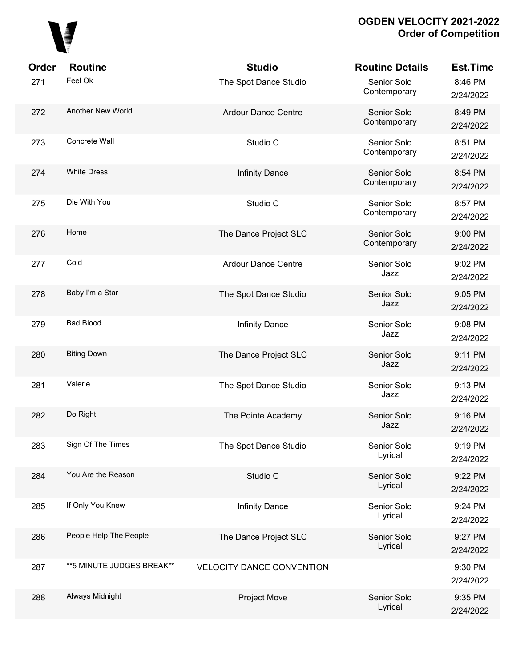

| Order | <b>Routine</b>             | <b>Studio</b>                    | <b>Routine Details</b>      | <b>Est.Time</b>      |
|-------|----------------------------|----------------------------------|-----------------------------|----------------------|
| 271   | Feel Ok                    | The Spot Dance Studio            | Senior Solo<br>Contemporary | 8:46 PM<br>2/24/2022 |
| 272   | Another New World          | <b>Ardour Dance Centre</b>       | Senior Solo<br>Contemporary | 8:49 PM<br>2/24/2022 |
| 273   | Concrete Wall              | Studio C                         | Senior Solo<br>Contemporary | 8:51 PM<br>2/24/2022 |
| 274   | <b>White Dress</b>         | <b>Infinity Dance</b>            | Senior Solo<br>Contemporary | 8:54 PM<br>2/24/2022 |
| 275   | Die With You               | Studio C                         | Senior Solo<br>Contemporary | 8:57 PM<br>2/24/2022 |
| 276   | Home                       | The Dance Project SLC            | Senior Solo<br>Contemporary | 9:00 PM<br>2/24/2022 |
| 277   | Cold                       | Ardour Dance Centre              | Senior Solo<br>Jazz         | 9:02 PM<br>2/24/2022 |
| 278   | Baby I'm a Star            | The Spot Dance Studio            | Senior Solo<br>Jazz         | 9:05 PM<br>2/24/2022 |
| 279   | <b>Bad Blood</b>           | <b>Infinity Dance</b>            | Senior Solo<br>Jazz         | 9:08 PM<br>2/24/2022 |
| 280   | <b>Biting Down</b>         | The Dance Project SLC            | Senior Solo<br>Jazz         | 9:11 PM<br>2/24/2022 |
| 281   | Valerie                    | The Spot Dance Studio            | Senior Solo<br>Jazz         | 9:13 PM<br>2/24/2022 |
| 282   | Do Right                   | The Pointe Academy               | Senior Solo<br>Jazz         | 9:16 PM<br>2/24/2022 |
| 283   | Sign Of The Times          | The Spot Dance Studio            | Senior Solo<br>Lyrical      | 9:19 PM<br>2/24/2022 |
| 284   | You Are the Reason         | Studio C                         | Senior Solo<br>Lyrical      | 9:22 PM<br>2/24/2022 |
| 285   | If Only You Knew           | Infinity Dance                   | Senior Solo<br>Lyrical      | 9:24 PM<br>2/24/2022 |
| 286   | People Help The People     | The Dance Project SLC            | Senior Solo<br>Lyrical      | 9:27 PM<br>2/24/2022 |
| 287   | ** 5 MINUTE JUDGES BREAK** | <b>VELOCITY DANCE CONVENTION</b> |                             | 9:30 PM<br>2/24/2022 |
| 288   | Always Midnight            | <b>Project Move</b>              | Senior Solo<br>Lyrical      | 9:35 PM<br>2/24/2022 |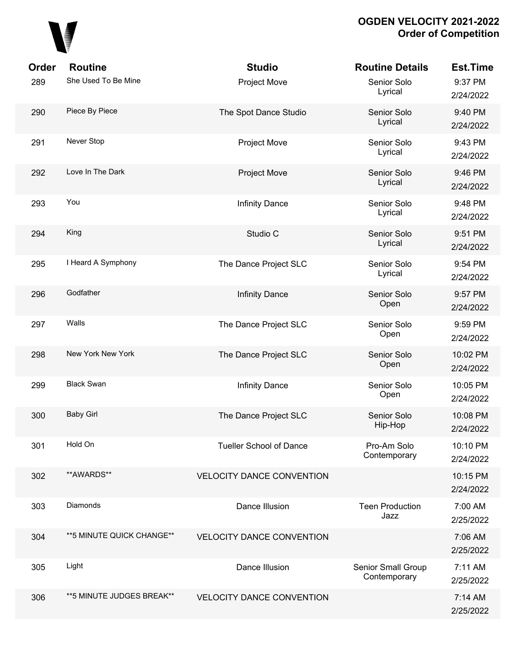

| Order | <b>Routine</b>             | <b>Studio</b>                    | <b>Routine Details</b>             | <b>Est.Time</b>       |
|-------|----------------------------|----------------------------------|------------------------------------|-----------------------|
| 289   | She Used To Be Mine        | Project Move                     | Senior Solo<br>Lyrical             | 9:37 PM<br>2/24/2022  |
| 290   | Piece By Piece             | The Spot Dance Studio            | Senior Solo<br>Lyrical             | 9:40 PM<br>2/24/2022  |
| 291   | Never Stop                 | <b>Project Move</b>              | Senior Solo<br>Lyrical             | 9:43 PM<br>2/24/2022  |
| 292   | Love In The Dark           | <b>Project Move</b>              | Senior Solo<br>Lyrical             | 9:46 PM<br>2/24/2022  |
| 293   | You                        | <b>Infinity Dance</b>            | Senior Solo<br>Lyrical             | 9:48 PM<br>2/24/2022  |
| 294   | King                       | Studio C                         | Senior Solo<br>Lyrical             | 9:51 PM<br>2/24/2022  |
| 295   | I Heard A Symphony         | The Dance Project SLC            | Senior Solo<br>Lyrical             | 9:54 PM<br>2/24/2022  |
| 296   | Godfather                  | <b>Infinity Dance</b>            | Senior Solo<br>Open                | 9:57 PM<br>2/24/2022  |
| 297   | Walls                      | The Dance Project SLC            | Senior Solo<br>Open                | 9:59 PM<br>2/24/2022  |
| 298   | New York New York          | The Dance Project SLC            | Senior Solo<br>Open                | 10:02 PM<br>2/24/2022 |
| 299   | <b>Black Swan</b>          | <b>Infinity Dance</b>            | Senior Solo<br>Open                | 10:05 PM<br>2/24/2022 |
| 300   | <b>Baby Girl</b>           | The Dance Project SLC            | Senior Solo<br>Hip-Hop             | 10:08 PM<br>2/24/2022 |
| 301   | Hold On                    | <b>Tueller School of Dance</b>   | Pro-Am Solo<br>Contemporary        | 10:10 PM<br>2/24/2022 |
| 302   | **AWARDS**                 | <b>VELOCITY DANCE CONVENTION</b> |                                    | 10:15 PM<br>2/24/2022 |
| 303   | Diamonds                   | Dance Illusion                   | <b>Teen Production</b><br>Jazz     | 7:00 AM<br>2/25/2022  |
| 304   | ** 5 MINUTE QUICK CHANGE** | <b>VELOCITY DANCE CONVENTION</b> |                                    | 7:06 AM<br>2/25/2022  |
| 305   | Light                      | Dance Illusion                   | Senior Small Group<br>Contemporary | 7:11 AM<br>2/25/2022  |
| 306   | **5 MINUTE JUDGES BREAK**  | <b>VELOCITY DANCE CONVENTION</b> |                                    | 7:14 AM<br>2/25/2022  |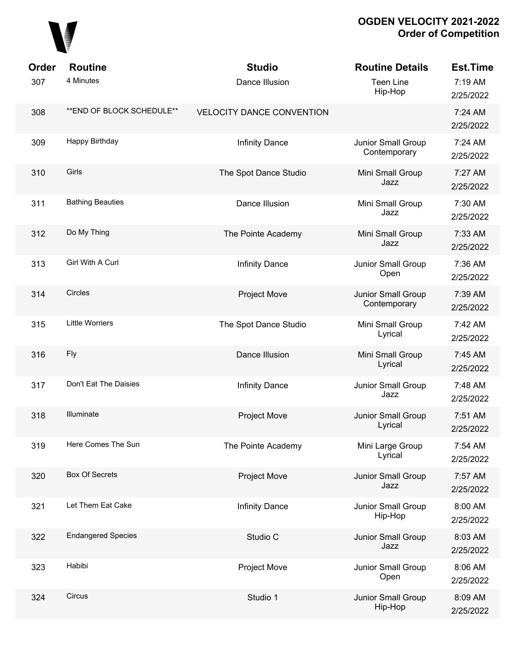

| Order | <b>Routine</b>             | <b>Studio</b>                    | <b>Routine Details</b>             | <b>Est.Time</b>      |
|-------|----------------------------|----------------------------------|------------------------------------|----------------------|
| 307   | 4 Minutes                  | Dance Illusion                   | <b>Teen Line</b><br>Hip-Hop        | 7:19 AM<br>2/25/2022 |
| 308   | ** END OF BLOCK SCHEDULE** | <b>VELOCITY DANCE CONVENTION</b> |                                    | 7:24 AM<br>2/25/2022 |
| 309   | Happy Birthday             | <b>Infinity Dance</b>            | Junior Small Group<br>Contemporary | 7:24 AM<br>2/25/2022 |
| 310   | Girls                      | The Spot Dance Studio            | Mini Small Group<br>Jazz           | 7:27 AM<br>2/25/2022 |
| 311   | <b>Bathing Beauties</b>    | Dance Illusion                   | Mini Small Group<br>Jazz           | 7:30 AM<br>2/25/2022 |
| 312   | Do My Thing                | The Pointe Academy               | Mini Small Group<br>Jazz           | 7:33 AM<br>2/25/2022 |
| 313   | Girl With A Curl           | <b>Infinity Dance</b>            | Junior Small Group<br>Open         | 7:36 AM<br>2/25/2022 |
| 314   | Circles                    | <b>Project Move</b>              | Junior Small Group<br>Contemporary | 7:39 AM<br>2/25/2022 |
| 315   | <b>Little Worriers</b>     | The Spot Dance Studio            | Mini Small Group<br>Lyrical        | 7:42 AM<br>2/25/2022 |
| 316   | <b>Fly</b>                 | Dance Illusion                   | Mini Small Group<br>Lyrical        | 7:45 AM<br>2/25/2022 |
| 317   | Don't Eat The Daisies      | <b>Infinity Dance</b>            | Junior Small Group<br>Jazz         | 7:48 AM<br>2/25/2022 |
| 318   | Illuminate                 | <b>Project Move</b>              | Junior Small Group<br>Lyrical      | 7:51 AM<br>2/25/2022 |
| 319   | Here Comes The Sun         | The Pointe Academy               | Mini Large Group<br>Lyrical        | 7:54 AM<br>2/25/2022 |
| 320   | <b>Box Of Secrets</b>      | Project Move                     | Junior Small Group<br>Jazz         | 7:57 AM<br>2/25/2022 |
| 321   | Let Them Eat Cake          | <b>Infinity Dance</b>            | Junior Small Group<br>Hip-Hop      | 8:00 AM<br>2/25/2022 |
| 322   | <b>Endangered Species</b>  | Studio C                         | Junior Small Group<br>Jazz         | 8:03 AM<br>2/25/2022 |
| 323   | Habibi                     | <b>Project Move</b>              | Junior Small Group<br>Open         | 8:06 AM<br>2/25/2022 |
| 324   | Circus                     | Studio 1                         | Junior Small Group<br>Hip-Hop      | 8:09 AM<br>2/25/2022 |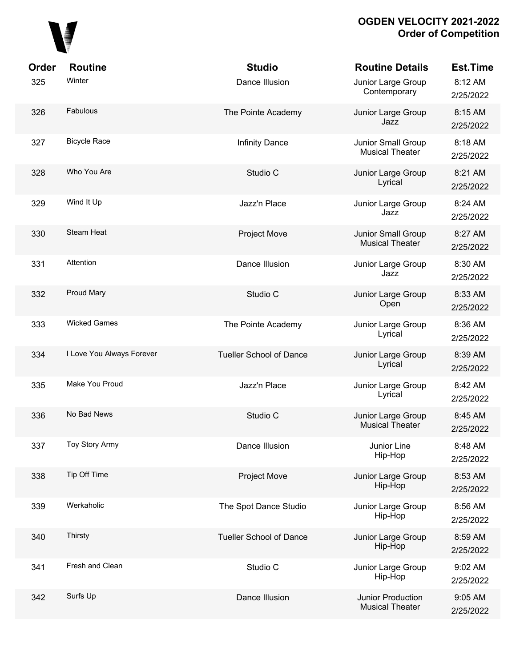

| Order | <b>Routine</b>            | <b>Studio</b>                  | <b>Routine Details</b>                              | <b>Est.Time</b>      |
|-------|---------------------------|--------------------------------|-----------------------------------------------------|----------------------|
| 325   | Winter                    | Dance Illusion                 | Junior Large Group<br>Contemporary                  | 8:12 AM<br>2/25/2022 |
| 326   | Fabulous                  | The Pointe Academy             | Junior Large Group<br>Jazz                          | 8:15 AM<br>2/25/2022 |
| 327   | <b>Bicycle Race</b>       | <b>Infinity Dance</b>          | <b>Junior Small Group</b><br><b>Musical Theater</b> | 8:18 AM<br>2/25/2022 |
| 328   | Who You Are               | Studio C                       | Junior Large Group<br>Lyrical                       | 8:21 AM<br>2/25/2022 |
| 329   | Wind It Up                | Jazz'n Place                   | Junior Large Group<br>Jazz                          | 8:24 AM<br>2/25/2022 |
| 330   | Steam Heat                | Project Move                   | Junior Small Group<br><b>Musical Theater</b>        | 8:27 AM<br>2/25/2022 |
| 331   | Attention                 | Dance Illusion                 | Junior Large Group<br>Jazz                          | 8:30 AM<br>2/25/2022 |
| 332   | Proud Mary                | Studio C                       | Junior Large Group<br>Open                          | 8:33 AM<br>2/25/2022 |
| 333   | <b>Wicked Games</b>       | The Pointe Academy             | Junior Large Group<br>Lyrical                       | 8:36 AM<br>2/25/2022 |
| 334   | I Love You Always Forever | <b>Tueller School of Dance</b> | Junior Large Group<br>Lyrical                       | 8:39 AM<br>2/25/2022 |
| 335   | Make You Proud            | Jazz'n Place                   | Junior Large Group<br>Lyrical                       | 8:42 AM<br>2/25/2022 |
| 336   | No Bad News               | Studio C                       | Junior Large Group<br><b>Musical Theater</b>        | 8:45 AM<br>2/25/2022 |
| 337   | Toy Story Army            | Dance Illusion                 | Junior Line<br>Hip-Hop                              | 8:48 AM<br>2/25/2022 |
| 338   | Tip Off Time              | Project Move                   | Junior Large Group<br>Hip-Hop                       | 8:53 AM<br>2/25/2022 |
| 339   | Werkaholic                | The Spot Dance Studio          | Junior Large Group<br>Hip-Hop                       | 8:56 AM<br>2/25/2022 |
| 340   | Thirsty                   | <b>Tueller School of Dance</b> | Junior Large Group<br>Hip-Hop                       | 8:59 AM<br>2/25/2022 |
| 341   | Fresh and Clean           | Studio C                       | Junior Large Group<br>Hip-Hop                       | 9:02 AM<br>2/25/2022 |
| 342   | Surfs Up                  | Dance Illusion                 | Junior Production<br><b>Musical Theater</b>         | 9:05 AM<br>2/25/2022 |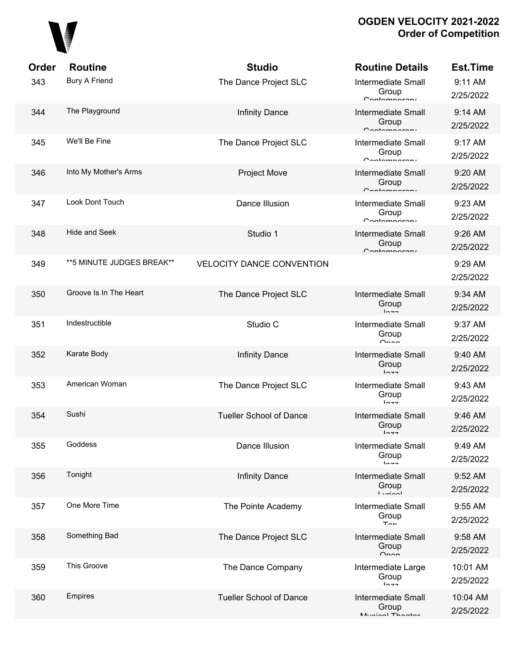

| Order | <b>Routine</b>             | <b>Studio</b>                    | <b>Routine Details</b>                                          | <b>Est.Time</b>       |
|-------|----------------------------|----------------------------------|-----------------------------------------------------------------|-----------------------|
| 343   | <b>Bury A Friend</b>       | The Dance Project SLC            | <b>Intermediate Small</b><br>Group<br>$C$ ontomnaron $\epsilon$ | 9:11 AM<br>2/25/2022  |
| 344   | The Playground             | <b>Infinity Dance</b>            | <b>Intermediate Small</b><br>Group<br>Contamparary              | 9:14 AM<br>2/25/2022  |
| 345   | We'll Be Fine              | The Dance Project SLC            | <b>Intermediate Small</b><br>Group<br>$C$ ontomnoroni           | 9:17 AM<br>2/25/2022  |
| 346   | Into My Mother's Arms      | <b>Project Move</b>              | <b>Intermediate Small</b><br>Group<br>Contamparary              | 9:20 AM<br>2/25/2022  |
| 347   | <b>Look Dont Touch</b>     | Dance Illusion                   | <b>Intermediate Small</b><br>Group<br>$C$ ontomnoroni           | 9:23 AM<br>2/25/2022  |
| 348   | <b>Hide and Seek</b>       | Studio 1                         | <b>Intermediate Small</b><br>Group<br>Contamparary              | 9:26 AM<br>2/25/2022  |
| 349   | ** 5 MINUTE JUDGES BREAK** | <b>VELOCITY DANCE CONVENTION</b> |                                                                 | 9:29 AM<br>2/25/2022  |
| 350   | Groove Is In The Heart     | The Dance Project SLC            | <b>Intermediate Small</b><br>Group<br>$ln -$                    | 9:34 AM<br>2/25/2022  |
| 351   | Indestructible             | Studio C                         | <b>Intermediate Small</b><br>Group<br>$O_{max}$                 | 9:37 AM<br>2/25/2022  |
| 352   | Karate Body                | <b>Infinity Dance</b>            | Intermediate Small<br>Group<br>$ln -$                           | 9:40 AM<br>2/25/2022  |
| 353   | American Woman             | The Dance Project SLC            | <b>Intermediate Small</b><br>Group<br>$ln -$                    | 9:43 AM<br>2/25/2022  |
| 354   | Sushi                      | <b>Tueller School of Dance</b>   | <b>Intermediate Small</b><br>Group<br>トヘーー                      | 9:46 AM<br>2/25/2022  |
| 355   | Goddess                    | Dance Illusion                   | Intermediate Small<br>Group<br>$ln -$                           | 9:49 AM<br>2/25/2022  |
| 356   | Tonight                    | <b>Infinity Dance</b>            | Intermediate Small<br>Group<br>$I$ winnl                        | 9:52 AM<br>2/25/2022  |
| 357   | One More Time              | The Pointe Academy               | <b>Intermediate Small</b><br>Group<br>$T_{\cap n}$              | 9:55 AM<br>2/25/2022  |
| 358   | Something Bad              | The Dance Project SLC            | <b>Intermediate Small</b><br>Group<br>$\sim$                    | 9:58 AM<br>2/25/2022  |
| 359   | This Groove                | The Dance Company                | Intermediate Large<br>Group<br>10.77                            | 10:01 AM<br>2/25/2022 |
| 360   | <b>Empires</b>             | <b>Tueller School of Dance</b>   | Intermediate Small<br>Group<br>Munical Thootar                  | 10:04 AM<br>2/25/2022 |
|       |                            |                                  |                                                                 |                       |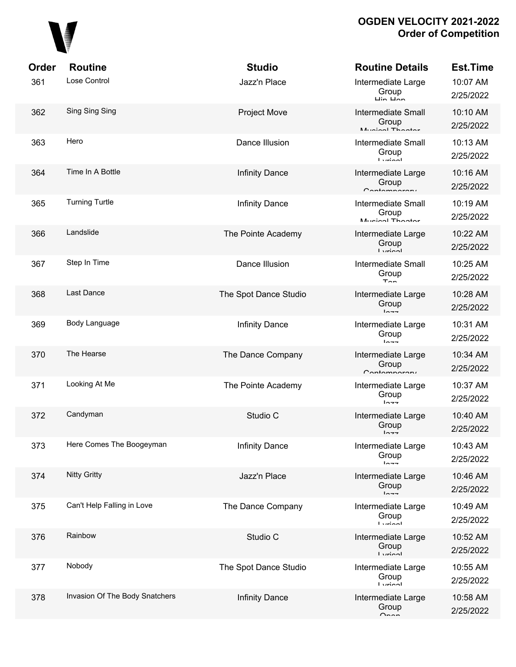

| Order | <b>Routine</b>                 | <b>Studio</b>         | <b>Routine Details</b>                                             | Est.Time              |
|-------|--------------------------------|-----------------------|--------------------------------------------------------------------|-----------------------|
| 361   | Lose Control                   | Jazz'n Place          | Intermediate Large<br>Group<br>$\overline{u}$ in $\overline{u}$ an | 10:07 AM<br>2/25/2022 |
| 362   | Sing Sing Sing                 | <b>Project Move</b>   | Intermediate Small<br>Group<br>Munical Thooter                     | 10:10 AM<br>2/25/2022 |
| 363   | Hero                           | Dance Illusion        | <b>Intermediate Small</b><br>Group<br><b>Ludon</b>                 | 10:13 AM<br>2/25/2022 |
| 364   | Time In A Bottle               | <b>Infinity Dance</b> | Intermediate Large<br>Group<br>$C$ ontomnoroni                     | 10:16 AM<br>2/25/2022 |
| 365   | <b>Turning Turtle</b>          | <b>Infinity Dance</b> | <b>Intermediate Small</b><br>Group<br>Munical Thootar              | 10:19 AM<br>2/25/2022 |
| 366   | Landslide                      | The Pointe Academy    | Intermediate Large<br>Group<br>$l$ <i>siminal</i>                  | 10:22 AM<br>2/25/2022 |
| 367   | Step In Time                   | Dance Illusion        | <b>Intermediate Small</b><br>Group<br>$T_{\cap n}$                 | 10:25 AM<br>2/25/2022 |
| 368   | Last Dance                     | The Spot Dance Studio | Intermediate Large<br>Group<br>$ln -$                              | 10:28 AM<br>2/25/2022 |
| 369   | Body Language                  | <b>Infinity Dance</b> | Intermediate Large<br>Group<br>$ln -$                              | 10:31 AM<br>2/25/2022 |
| 370   | The Hearse                     | The Dance Company     | Intermediate Large<br>Group<br>Contamparary                        | 10:34 AM<br>2/25/2022 |
| 371   | Looking At Me                  | The Pointe Academy    | Intermediate Large<br>Group<br>$ln - -$                            | 10:37 AM<br>2/25/2022 |
| 372   | Candyman                       | Studio C              | Intermediate Large<br>Group<br>$ln - -$                            | 10:40 AM<br>2/25/2022 |
| 373   | Here Comes The Boogeyman       | <b>Infinity Dance</b> | Intermediate Large<br>Group<br>$1 - -$                             | 10:43 AM<br>2/25/2022 |
| 374   | <b>Nitty Gritty</b>            | Jazz'n Place          | Intermediate Large<br>Group<br>$1 - -$                             | 10:46 AM<br>2/25/2022 |
| 375   | Can't Help Falling in Love     | The Dance Company     | Intermediate Large<br>Group<br>$I$ winnl                           | 10:49 AM<br>2/25/2022 |
| 376   | Rainbow                        | Studio C              | Intermediate Large<br>Group<br>$I$ <i>simposi</i>                  | 10:52 AM<br>2/25/2022 |
| 377   | Nobody                         | The Spot Dance Studio | Intermediate Large<br>Group<br>$I$ winnl                           | 10:55 AM<br>2/25/2022 |
| 378   | Invasion Of The Body Snatchers | <b>Infinity Dance</b> | Intermediate Large<br>Group<br>$n_{nnn}$                           | 10:58 AM<br>2/25/2022 |
|       |                                |                       |                                                                    |                       |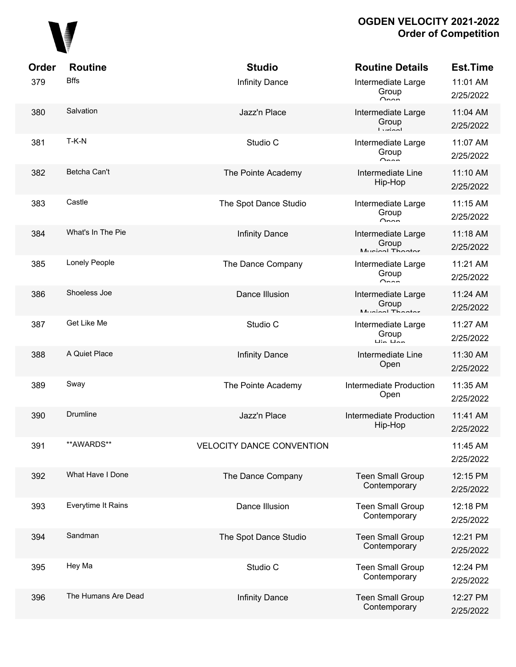

| Order | <b>Routine</b>      | <b>Studio</b>                    | <b>Routine Details</b>                                             | <b>Est.Time</b>       |
|-------|---------------------|----------------------------------|--------------------------------------------------------------------|-----------------------|
| 379   | <b>Bffs</b>         | <b>Infinity Dance</b>            | Intermediate Large<br>Group<br>$\sim$                              | 11:01 AM<br>2/25/2022 |
| 380   | Salvation           | Jazz'n Place                     | Intermediate Large<br>Group<br>$I$ <i>veion</i> l                  | 11:04 AM<br>2/25/2022 |
| 381   | $T-K-N$             | Studio C                         | Intermediate Large<br>Group<br>$\sim$                              | 11:07 AM<br>2/25/2022 |
| 382   | Betcha Can't        | The Pointe Academy               | Intermediate Line<br>Hip-Hop                                       | 11:10 AM<br>2/25/2022 |
| 383   | Castle              | The Spot Dance Studio            | Intermediate Large<br>Group<br>$\sim$                              | 11:15 AM<br>2/25/2022 |
| 384   | What's In The Pie   | <b>Infinity Dance</b>            | Intermediate Large<br>Group<br>Munical Thootor                     | 11:18 AM<br>2/25/2022 |
| 385   | Lonely People       | The Dance Company                | Intermediate Large<br>Group<br>$\sim$                              | 11:21 AM<br>2/25/2022 |
| 386   | Shoeless Joe        | Dance Illusion                   | Intermediate Large<br>Group<br>Munical Thootor                     | 11:24 AM<br>2/25/2022 |
| 387   | Get Like Me         | Studio C                         | Intermediate Large<br>Group<br>$\overline{u}$ in $\overline{u}$ an | 11:27 AM<br>2/25/2022 |
| 388   | A Quiet Place       | <b>Infinity Dance</b>            | Intermediate Line<br>Open                                          | 11:30 AM<br>2/25/2022 |
| 389   | Sway                | The Pointe Academy               | Intermediate Production<br>Open                                    | 11:35 AM<br>2/25/2022 |
| 390   | Drumline            | Jazz'n Place                     | <b>Intermediate Production</b><br>Hip-Hop                          | 11:41 AM<br>2/25/2022 |
| 391   | **AWARDS**          | <b>VELOCITY DANCE CONVENTION</b> |                                                                    | 11:45 AM<br>2/25/2022 |
| 392   | What Have I Done    | The Dance Company                | <b>Teen Small Group</b><br>Contemporary                            | 12:15 PM<br>2/25/2022 |
| 393   | Everytime It Rains  | Dance Illusion                   | <b>Teen Small Group</b><br>Contemporary                            | 12:18 PM<br>2/25/2022 |
| 394   | Sandman             | The Spot Dance Studio            | <b>Teen Small Group</b><br>Contemporary                            | 12:21 PM<br>2/25/2022 |
| 395   | Hey Ma              | Studio C                         | <b>Teen Small Group</b><br>Contemporary                            | 12:24 PM<br>2/25/2022 |
| 396   | The Humans Are Dead | <b>Infinity Dance</b>            | <b>Teen Small Group</b><br>Contemporary                            | 12:27 PM<br>2/25/2022 |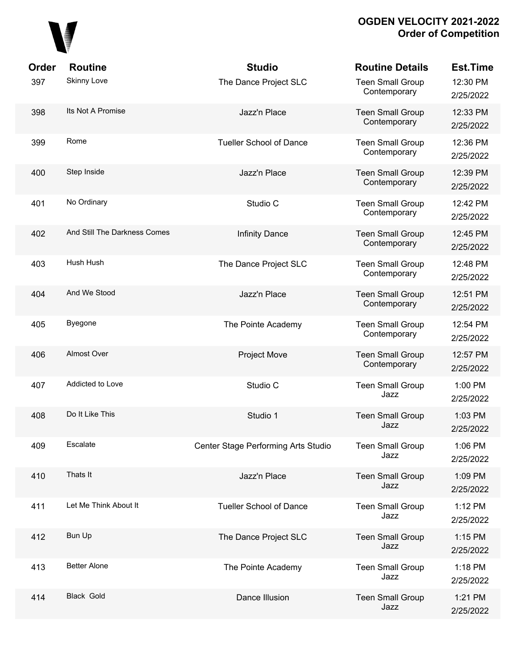# 

| Order | <b>Routine</b>               | <b>Studio</b>                       | <b>Routine Details</b>                  | <b>Est.Time</b>       |
|-------|------------------------------|-------------------------------------|-----------------------------------------|-----------------------|
| 397   | <b>Skinny Love</b>           | The Dance Project SLC               | <b>Teen Small Group</b><br>Contemporary | 12:30 PM<br>2/25/2022 |
| 398   | Its Not A Promise            | Jazz'n Place                        | <b>Teen Small Group</b><br>Contemporary | 12:33 PM<br>2/25/2022 |
| 399   | Rome                         | <b>Tueller School of Dance</b>      | <b>Teen Small Group</b><br>Contemporary | 12:36 PM<br>2/25/2022 |
| 400   | Step Inside                  | Jazz'n Place                        | <b>Teen Small Group</b><br>Contemporary | 12:39 PM<br>2/25/2022 |
| 401   | No Ordinary                  | Studio C                            | <b>Teen Small Group</b><br>Contemporary | 12:42 PM<br>2/25/2022 |
| 402   | And Still The Darkness Comes | <b>Infinity Dance</b>               | <b>Teen Small Group</b><br>Contemporary | 12:45 PM<br>2/25/2022 |
| 403   | Hush Hush                    | The Dance Project SLC               | <b>Teen Small Group</b><br>Contemporary | 12:48 PM<br>2/25/2022 |
| 404   | And We Stood                 | Jazz'n Place                        | <b>Teen Small Group</b><br>Contemporary | 12:51 PM<br>2/25/2022 |
| 405   | <b>Byegone</b>               | The Pointe Academy                  | <b>Teen Small Group</b><br>Contemporary | 12:54 PM<br>2/25/2022 |
| 406   | Almost Over                  | <b>Project Move</b>                 | <b>Teen Small Group</b><br>Contemporary | 12:57 PM<br>2/25/2022 |
| 407   | Addicted to Love             | Studio C                            | <b>Teen Small Group</b><br>Jazz         | 1:00 PM<br>2/25/2022  |
| 408   | Do It Like This              | Studio 1                            | <b>Teen Small Group</b><br>Jazz         | 1:03 PM<br>2/25/2022  |
| 409   | Escalate                     | Center Stage Performing Arts Studio | <b>Teen Small Group</b><br>Jazz         | 1:06 PM<br>2/25/2022  |
| 410   | Thats It                     | Jazz'n Place                        | <b>Teen Small Group</b><br>Jazz         | 1:09 PM<br>2/25/2022  |
| 411   | Let Me Think About It        | <b>Tueller School of Dance</b>      | <b>Teen Small Group</b><br>Jazz         | 1:12 PM<br>2/25/2022  |
| 412   | <b>Bun Up</b>                | The Dance Project SLC               | <b>Teen Small Group</b><br>Jazz         | 1:15 PM<br>2/25/2022  |
| 413   | <b>Better Alone</b>          | The Pointe Academy                  | <b>Teen Small Group</b><br>Jazz         | 1:18 PM<br>2/25/2022  |
| 414   | <b>Black Gold</b>            | Dance Illusion                      | <b>Teen Small Group</b><br>Jazz         | 1:21 PM<br>2/25/2022  |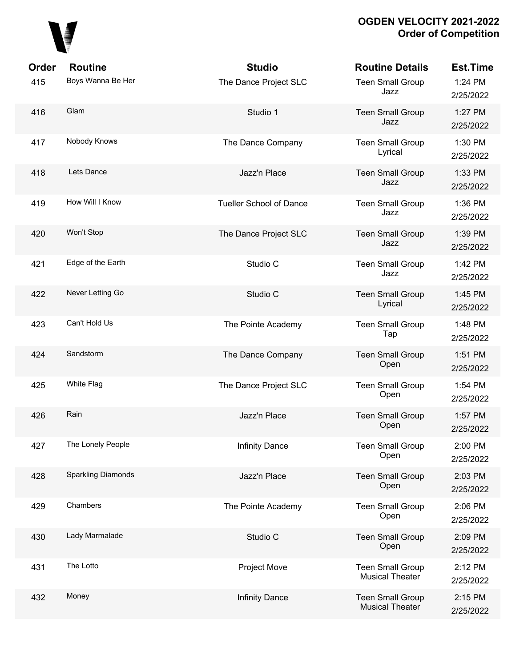

| <b>Order</b><br>415 | <b>Routine</b><br>Boys Wanna Be Her | <b>Studio</b><br>The Dance Project SLC | <b>Routine Details</b><br><b>Teen Small Group</b><br>Jazz | Est.Time<br>1:24 PM<br>2/25/2022 |
|---------------------|-------------------------------------|----------------------------------------|-----------------------------------------------------------|----------------------------------|
| 416                 | Glam                                | Studio 1                               | <b>Teen Small Group</b><br>Jazz                           | 1:27 PM<br>2/25/2022             |
| 417                 | Nobody Knows                        | The Dance Company                      | <b>Teen Small Group</b><br>Lyrical                        | 1:30 PM<br>2/25/2022             |
| 418                 | Lets Dance                          | Jazz'n Place                           | <b>Teen Small Group</b><br>Jazz                           | 1:33 PM<br>2/25/2022             |
| 419                 | How Will I Know                     | <b>Tueller School of Dance</b>         | <b>Teen Small Group</b><br>Jazz                           | 1:36 PM<br>2/25/2022             |
| 420                 | Won't Stop                          | The Dance Project SLC                  | <b>Teen Small Group</b><br>Jazz                           | 1:39 PM<br>2/25/2022             |
| 421                 | Edge of the Earth                   | Studio C                               | <b>Teen Small Group</b><br>Jazz                           | 1:42 PM<br>2/25/2022             |
| 422                 | Never Letting Go                    | Studio C                               | <b>Teen Small Group</b><br>Lyrical                        | 1:45 PM<br>2/25/2022             |
| 423                 | Can't Hold Us                       | The Pointe Academy                     | <b>Teen Small Group</b><br>Tap                            | 1:48 PM<br>2/25/2022             |
| 424                 | Sandstorm                           | The Dance Company                      | <b>Teen Small Group</b><br>Open                           | 1:51 PM<br>2/25/2022             |
| 425                 | White Flag                          | The Dance Project SLC                  | <b>Teen Small Group</b><br>Open                           | 1:54 PM<br>2/25/2022             |
| 426                 | Rain                                | Jazz'n Place                           | <b>Teen Small Group</b><br>Open                           | 1:57 PM<br>2/25/2022             |
| 427                 | The Lonely People                   | <b>Infinity Dance</b>                  | <b>Teen Small Group</b><br>Open                           | 2:00 PM<br>2/25/2022             |
| 428                 | <b>Sparkling Diamonds</b>           | Jazz'n Place                           | <b>Teen Small Group</b><br>Open                           | 2:03 PM<br>2/25/2022             |
| 429                 | Chambers                            | The Pointe Academy                     | <b>Teen Small Group</b><br>Open                           | 2:06 PM<br>2/25/2022             |
| 430                 | Lady Marmalade                      | Studio C                               | <b>Teen Small Group</b><br>Open                           | 2:09 PM<br>2/25/2022             |
| 431                 | The Lotto                           | <b>Project Move</b>                    | <b>Teen Small Group</b><br><b>Musical Theater</b>         | 2:12 PM<br>2/25/2022             |
| 432                 | Money                               | Infinity Dance                         | <b>Teen Small Group</b><br><b>Musical Theater</b>         | 2:15 PM<br>2/25/2022             |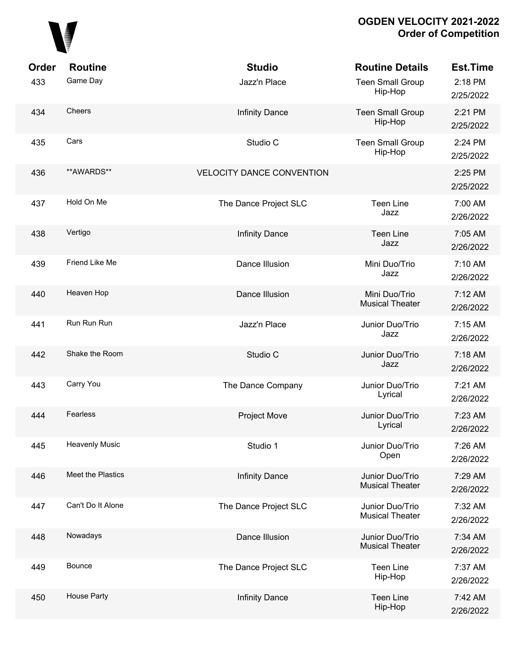

| Order | <b>Routine</b>        | <b>Studio</b>                    | <b>Routine Details</b>                    | <b>Est.Time</b>      |
|-------|-----------------------|----------------------------------|-------------------------------------------|----------------------|
| 433   | Game Day              | Jazz'n Place                     | <b>Teen Small Group</b><br>Hip-Hop        | 2:18 PM<br>2/25/2022 |
| 434   | Cheers                | <b>Infinity Dance</b>            | <b>Teen Small Group</b><br>Hip-Hop        | 2:21 PM<br>2/25/2022 |
| 435   | Cars                  | Studio C                         | <b>Teen Small Group</b><br>Hip-Hop        | 2:24 PM<br>2/25/2022 |
| 436   | **AWARDS**            | <b>VELOCITY DANCE CONVENTION</b> |                                           | 2:25 PM<br>2/25/2022 |
| 437   | Hold On Me            | The Dance Project SLC            | <b>Teen Line</b><br>Jazz                  | 7:00 AM<br>2/26/2022 |
| 438   | Vertigo               | <b>Infinity Dance</b>            | <b>Teen Line</b><br>Jazz                  | 7:05 AM<br>2/26/2022 |
| 439   | Friend Like Me        | Dance Illusion                   | Mini Duo/Trio<br>Jazz                     | 7:10 AM<br>2/26/2022 |
| 440   | Heaven Hop            | Dance Illusion                   | Mini Duo/Trio<br><b>Musical Theater</b>   | 7:12 AM<br>2/26/2022 |
| 441   | Run Run Run           | Jazz'n Place                     | Junior Duo/Trio<br>Jazz                   | 7:15 AM<br>2/26/2022 |
| 442   | Shake the Room        | Studio C                         | Junior Duo/Trio<br>Jazz                   | 7:18 AM<br>2/26/2022 |
| 443   | Carry You             | The Dance Company                | Junior Duo/Trio<br>Lyrical                | 7:21 AM<br>2/26/2022 |
| 444   | Fearless              | <b>Project Move</b>              | Junior Duo/Trio<br>Lyrical                | 7:23 AM<br>2/26/2022 |
| 445   | <b>Heavenly Music</b> | Studio 1                         | Junior Duo/Trio<br>Open                   | 7:26 AM<br>2/26/2022 |
| 446   | Meet the Plastics     | <b>Infinity Dance</b>            | Junior Duo/Trio<br><b>Musical Theater</b> | 7:29 AM<br>2/26/2022 |
| 447   | Can't Do It Alone     | The Dance Project SLC            | Junior Duo/Trio<br><b>Musical Theater</b> | 7:32 AM<br>2/26/2022 |
| 448   | Nowadays              | Dance Illusion                   | Junior Duo/Trio<br><b>Musical Theater</b> | 7:34 AM<br>2/26/2022 |
| 449   | <b>Bounce</b>         | The Dance Project SLC            | <b>Teen Line</b><br>Hip-Hop               | 7:37 AM<br>2/26/2022 |
| 450   | House Party           | <b>Infinity Dance</b>            | <b>Teen Line</b><br>Hip-Hop               | 7:42 AM<br>2/26/2022 |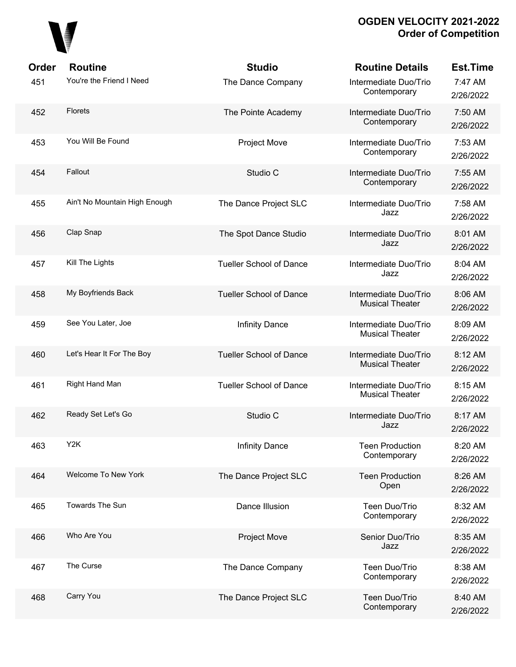

| Order | <b>Routine</b>                | <b>Studio</b>                  | <b>Routine Details</b>                          | <b>Est.Time</b>      |
|-------|-------------------------------|--------------------------------|-------------------------------------------------|----------------------|
| 451   | You're the Friend I Need      | The Dance Company              | Intermediate Duo/Trio<br>Contemporary           | 7:47 AM<br>2/26/2022 |
| 452   | <b>Florets</b>                | The Pointe Academy             | Intermediate Duo/Trio<br>Contemporary           | 7:50 AM<br>2/26/2022 |
| 453   | You Will Be Found             | <b>Project Move</b>            | Intermediate Duo/Trio<br>Contemporary           | 7:53 AM<br>2/26/2022 |
| 454   | Fallout                       | Studio C                       | Intermediate Duo/Trio<br>Contemporary           | 7:55 AM<br>2/26/2022 |
| 455   | Ain't No Mountain High Enough | The Dance Project SLC          | Intermediate Duo/Trio<br>Jazz                   | 7:58 AM<br>2/26/2022 |
| 456   | Clap Snap                     | The Spot Dance Studio          | Intermediate Duo/Trio<br>Jazz                   | 8:01 AM<br>2/26/2022 |
| 457   | Kill The Lights               | <b>Tueller School of Dance</b> | Intermediate Duo/Trio<br>Jazz                   | 8:04 AM<br>2/26/2022 |
| 458   | My Boyfriends Back            | <b>Tueller School of Dance</b> | Intermediate Duo/Trio<br><b>Musical Theater</b> | 8:06 AM<br>2/26/2022 |
| 459   | See You Later, Joe            | <b>Infinity Dance</b>          | Intermediate Duo/Trio<br><b>Musical Theater</b> | 8:09 AM<br>2/26/2022 |
| 460   | Let's Hear It For The Boy     | <b>Tueller School of Dance</b> | Intermediate Duo/Trio<br><b>Musical Theater</b> | 8:12 AM<br>2/26/2022 |
| 461   | Right Hand Man                | <b>Tueller School of Dance</b> | Intermediate Duo/Trio<br><b>Musical Theater</b> | 8:15 AM<br>2/26/2022 |
| 462   | Ready Set Let's Go            | Studio C                       | Intermediate Duo/Trio<br>Jazz                   | 8:17 AM<br>2/26/2022 |
| 463   | Y <sub>2</sub> K              | <b>Infinity Dance</b>          | <b>Teen Production</b><br>Contemporary          | 8:20 AM<br>2/26/2022 |
| 464   | Welcome To New York           | The Dance Project SLC          | <b>Teen Production</b><br>Open                  | 8:26 AM<br>2/26/2022 |
| 465   | Towards The Sun               | Dance Illusion                 | Teen Duo/Trio<br>Contemporary                   | 8:32 AM<br>2/26/2022 |
| 466   | Who Are You                   | <b>Project Move</b>            | Senior Duo/Trio<br>Jazz                         | 8:35 AM<br>2/26/2022 |
| 467   | The Curse                     | The Dance Company              | Teen Duo/Trio<br>Contemporary                   | 8:38 AM<br>2/26/2022 |
| 468   | Carry You                     | The Dance Project SLC          | Teen Duo/Trio<br>Contemporary                   | 8:40 AM<br>2/26/2022 |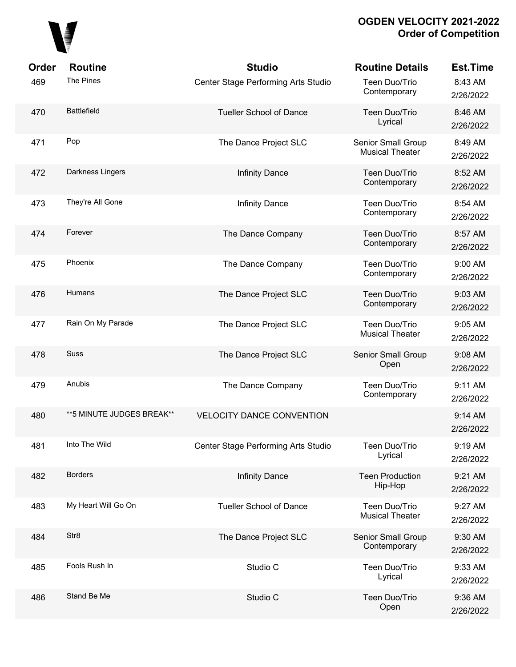

| Order | <b>Routine</b>             | <b>Studio</b>                       | <b>Routine Details</b>                       | <b>Est.Time</b>      |
|-------|----------------------------|-------------------------------------|----------------------------------------------|----------------------|
| 469   | The Pines                  | Center Stage Performing Arts Studio | Teen Duo/Trio<br>Contemporary                | 8:43 AM<br>2/26/2022 |
| 470   | <b>Battlefield</b>         | <b>Tueller School of Dance</b>      | Teen Duo/Trio<br>Lyrical                     | 8:46 AM<br>2/26/2022 |
| 471   | Pop                        | The Dance Project SLC               | Senior Small Group<br><b>Musical Theater</b> | 8:49 AM<br>2/26/2022 |
| 472   | Darkness Lingers           | <b>Infinity Dance</b>               | Teen Duo/Trio<br>Contemporary                | 8:52 AM<br>2/26/2022 |
| 473   | They're All Gone           | <b>Infinity Dance</b>               | Teen Duo/Trio<br>Contemporary                | 8:54 AM<br>2/26/2022 |
| 474   | Forever                    | The Dance Company                   | Teen Duo/Trio<br>Contemporary                | 8:57 AM<br>2/26/2022 |
| 475   | Phoenix                    | The Dance Company                   | Teen Duo/Trio<br>Contemporary                | 9:00 AM<br>2/26/2022 |
| 476   | Humans                     | The Dance Project SLC               | Teen Duo/Trio<br>Contemporary                | 9:03 AM<br>2/26/2022 |
| 477   | Rain On My Parade          | The Dance Project SLC               | Teen Duo/Trio<br><b>Musical Theater</b>      | 9:05 AM<br>2/26/2022 |
| 478   | <b>Suss</b>                | The Dance Project SLC               | Senior Small Group<br>Open                   | 9:08 AM<br>2/26/2022 |
| 479   | Anubis                     | The Dance Company                   | Teen Duo/Trio<br>Contemporary                | 9:11 AM<br>2/26/2022 |
| 480   | ** 5 MINUTE JUDGES BREAK** | <b>VELOCITY DANCE CONVENTION</b>    |                                              | 9:14 AM<br>2/26/2022 |
| 481   | Into The Wild              | Center Stage Performing Arts Studio | Teen Duo/Trio<br>Lyrical                     | 9:19 AM<br>2/26/2022 |
| 482   | <b>Borders</b>             | <b>Infinity Dance</b>               | <b>Teen Production</b><br>Hip-Hop            | 9:21 AM<br>2/26/2022 |
| 483   | My Heart Will Go On        | <b>Tueller School of Dance</b>      | Teen Duo/Trio<br><b>Musical Theater</b>      | 9:27 AM<br>2/26/2022 |
| 484   | Str8                       | The Dance Project SLC               | Senior Small Group<br>Contemporary           | 9:30 AM<br>2/26/2022 |
| 485   | Fools Rush In              | Studio C                            | Teen Duo/Trio<br>Lyrical                     | 9:33 AM<br>2/26/2022 |
| 486   | Stand Be Me                | Studio C                            | Teen Duo/Trio<br>Open                        | 9:36 AM<br>2/26/2022 |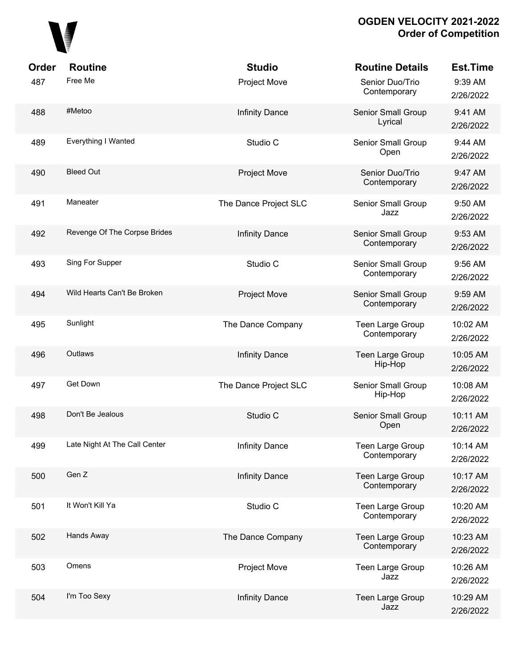

| Order | <b>Routine</b>                | <b>Studio</b>         | <b>Routine Details</b>             | <b>Est.Time</b>       |
|-------|-------------------------------|-----------------------|------------------------------------|-----------------------|
| 487   | Free Me                       | <b>Project Move</b>   | Senior Duo/Trio<br>Contemporary    | 9:39 AM<br>2/26/2022  |
| 488   | #Metoo                        | <b>Infinity Dance</b> | Senior Small Group<br>Lyrical      | 9:41 AM<br>2/26/2022  |
| 489   | Everything I Wanted           | Studio C              | Senior Small Group<br>Open         | 9:44 AM<br>2/26/2022  |
| 490   | <b>Bleed Out</b>              | Project Move          | Senior Duo/Trio<br>Contemporary    | 9:47 AM<br>2/26/2022  |
| 491   | Maneater                      | The Dance Project SLC | Senior Small Group<br>Jazz         | 9:50 AM<br>2/26/2022  |
| 492   | Revenge Of The Corpse Brides  | <b>Infinity Dance</b> | Senior Small Group<br>Contemporary | 9:53 AM<br>2/26/2022  |
| 493   | Sing For Supper               | Studio C              | Senior Small Group<br>Contemporary | 9:56 AM<br>2/26/2022  |
| 494   | Wild Hearts Can't Be Broken   | Project Move          | Senior Small Group<br>Contemporary | 9:59 AM<br>2/26/2022  |
| 495   | Sunlight                      | The Dance Company     | Teen Large Group<br>Contemporary   | 10:02 AM<br>2/26/2022 |
| 496   | Outlaws                       | <b>Infinity Dance</b> | Teen Large Group<br>Hip-Hop        | 10:05 AM<br>2/26/2022 |
| 497   | Get Down                      | The Dance Project SLC | Senior Small Group<br>Hip-Hop      | 10:08 AM<br>2/26/2022 |
| 498   | Don't Be Jealous              | Studio C              | Senior Small Group<br>Open         | 10:11 AM<br>2/26/2022 |
| 499   | Late Night At The Call Center | <b>Infinity Dance</b> | Teen Large Group<br>Contemporary   | 10:14 AM<br>2/26/2022 |
| 500   | Gen Z                         | <b>Infinity Dance</b> | Teen Large Group<br>Contemporary   | 10:17 AM<br>2/26/2022 |
| 501   | It Won't Kill Ya              | Studio C              | Teen Large Group<br>Contemporary   | 10:20 AM<br>2/26/2022 |
| 502   | Hands Away                    | The Dance Company     | Teen Large Group<br>Contemporary   | 10:23 AM<br>2/26/2022 |
| 503   | Omens                         | Project Move          | Teen Large Group<br>Jazz           | 10:26 AM<br>2/26/2022 |
| 504   | I'm Too Sexy                  | <b>Infinity Dance</b> | Teen Large Group<br>Jazz           | 10:29 AM<br>2/26/2022 |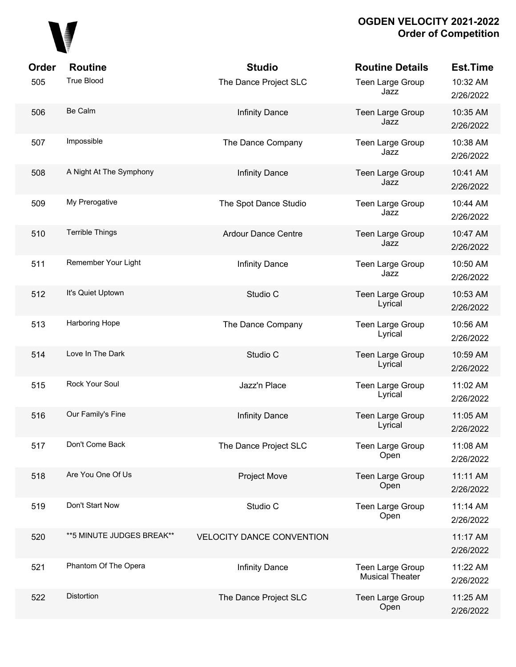

| Order | <b>Routine</b>             | <b>Studio</b>                    | <b>Routine Details</b>                     | <b>Est.Time</b>       |
|-------|----------------------------|----------------------------------|--------------------------------------------|-----------------------|
| 505   | <b>True Blood</b>          | The Dance Project SLC            | Teen Large Group<br>Jazz                   | 10:32 AM<br>2/26/2022 |
| 506   | Be Calm                    | <b>Infinity Dance</b>            | Teen Large Group<br>Jazz                   | 10:35 AM<br>2/26/2022 |
| 507   | Impossible                 | The Dance Company                | Teen Large Group<br>Jazz                   | 10:38 AM<br>2/26/2022 |
| 508   | A Night At The Symphony    | <b>Infinity Dance</b>            | Teen Large Group<br>Jazz                   | 10:41 AM<br>2/26/2022 |
| 509   | My Prerogative             | The Spot Dance Studio            | Teen Large Group<br>Jazz                   | 10:44 AM<br>2/26/2022 |
| 510   | <b>Terrible Things</b>     | <b>Ardour Dance Centre</b>       | Teen Large Group<br>Jazz                   | 10:47 AM<br>2/26/2022 |
| 511   | Remember Your Light        | <b>Infinity Dance</b>            | Teen Large Group<br>Jazz                   | 10:50 AM<br>2/26/2022 |
| 512   | It's Quiet Uptown          | Studio C                         | Teen Large Group<br>Lyrical                | 10:53 AM<br>2/26/2022 |
| 513   | Harboring Hope             | The Dance Company                | Teen Large Group<br>Lyrical                | 10:56 AM<br>2/26/2022 |
| 514   | Love In The Dark           | Studio C                         | Teen Large Group<br>Lyrical                | 10:59 AM<br>2/26/2022 |
| 515   | Rock Your Soul             | Jazz'n Place                     | Teen Large Group<br>Lyrical                | 11:02 AM<br>2/26/2022 |
| 516   | Our Family's Fine          | <b>Infinity Dance</b>            | <b>Teen Large Group</b><br>Lyrical         | 11:05 AM<br>2/26/2022 |
| 517   | Don't Come Back            | The Dance Project SLC            | Teen Large Group<br>Open                   | 11:08 AM<br>2/26/2022 |
| 518   | Are You One Of Us          | <b>Project Move</b>              | Teen Large Group<br>Open                   | 11:11 AM<br>2/26/2022 |
| 519   | Don't Start Now            | Studio C                         | Teen Large Group<br>Open                   | 11:14 AM<br>2/26/2022 |
| 520   | ** 5 MINUTE JUDGES BREAK** | <b>VELOCITY DANCE CONVENTION</b> |                                            | 11:17 AM<br>2/26/2022 |
| 521   | Phantom Of The Opera       | <b>Infinity Dance</b>            | Teen Large Group<br><b>Musical Theater</b> | 11:22 AM<br>2/26/2022 |
| 522   | Distortion                 | The Dance Project SLC            | Teen Large Group<br>Open                   | 11:25 AM<br>2/26/2022 |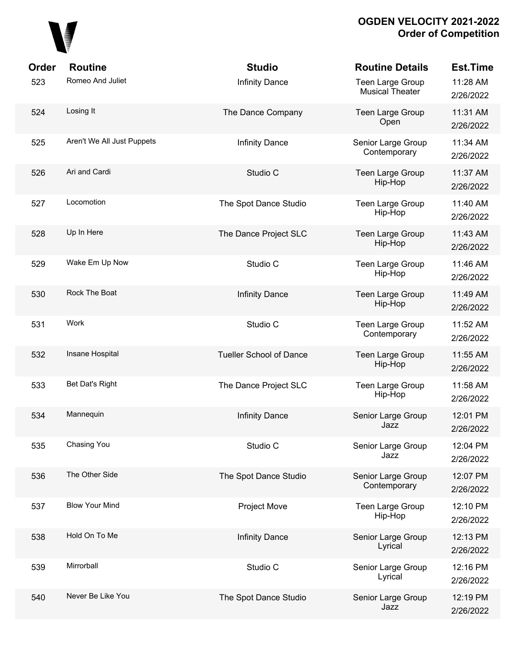

| <b>Order</b> | <b>Routine</b>             | <b>Studio</b>                  | <b>Routine Details</b>                     | <b>Est.Time</b>       |
|--------------|----------------------------|--------------------------------|--------------------------------------------|-----------------------|
| 523          | Romeo And Juliet           | Infinity Dance                 | Teen Large Group<br><b>Musical Theater</b> | 11:28 AM<br>2/26/2022 |
| 524          | Losing It                  | The Dance Company              | <b>Teen Large Group</b><br>Open            | 11:31 AM<br>2/26/2022 |
| 525          | Aren't We All Just Puppets | <b>Infinity Dance</b>          | Senior Large Group<br>Contemporary         | 11:34 AM<br>2/26/2022 |
| 526          | Ari and Cardi              | Studio C                       | Teen Large Group<br>Hip-Hop                | 11:37 AM<br>2/26/2022 |
| 527          | Locomotion                 | The Spot Dance Studio          | Teen Large Group<br>Hip-Hop                | 11:40 AM<br>2/26/2022 |
| 528          | Up In Here                 | The Dance Project SLC          | <b>Teen Large Group</b><br>Hip-Hop         | 11:43 AM<br>2/26/2022 |
| 529          | Wake Em Up Now             | Studio C                       | Teen Large Group<br>Hip-Hop                | 11:46 AM<br>2/26/2022 |
| 530          | Rock The Boat              | <b>Infinity Dance</b>          | Teen Large Group<br>Hip-Hop                | 11:49 AM<br>2/26/2022 |
| 531          | Work                       | Studio C                       | <b>Teen Large Group</b><br>Contemporary    | 11:52 AM<br>2/26/2022 |
| 532          | Insane Hospital            | <b>Tueller School of Dance</b> | Teen Large Group<br>Hip-Hop                | 11:55 AM<br>2/26/2022 |
| 533          | Bet Dat's Right            | The Dance Project SLC          | Teen Large Group<br>Hip-Hop                | 11:58 AM<br>2/26/2022 |
| 534          | Mannequin                  | <b>Infinity Dance</b>          | Senior Large Group<br>Jazz                 | 12:01 PM<br>2/26/2022 |
| 535          | Chasing You                | Studio C                       | Senior Large Group<br>Jazz                 | 12:04 PM<br>2/26/2022 |
| 536          | The Other Side             | The Spot Dance Studio          | Senior Large Group<br>Contemporary         | 12:07 PM<br>2/26/2022 |
| 537          | <b>Blow Your Mind</b>      | Project Move                   | Teen Large Group<br>Hip-Hop                | 12:10 PM<br>2/26/2022 |
| 538          | Hold On To Me              | Infinity Dance                 | Senior Large Group<br>Lyrical              | 12:13 PM<br>2/26/2022 |
| 539          | Mirrorball                 | Studio C                       | Senior Large Group<br>Lyrical              | 12:16 PM<br>2/26/2022 |
| 540          | Never Be Like You          | The Spot Dance Studio          | Senior Large Group<br>Jazz                 | 12:19 PM<br>2/26/2022 |